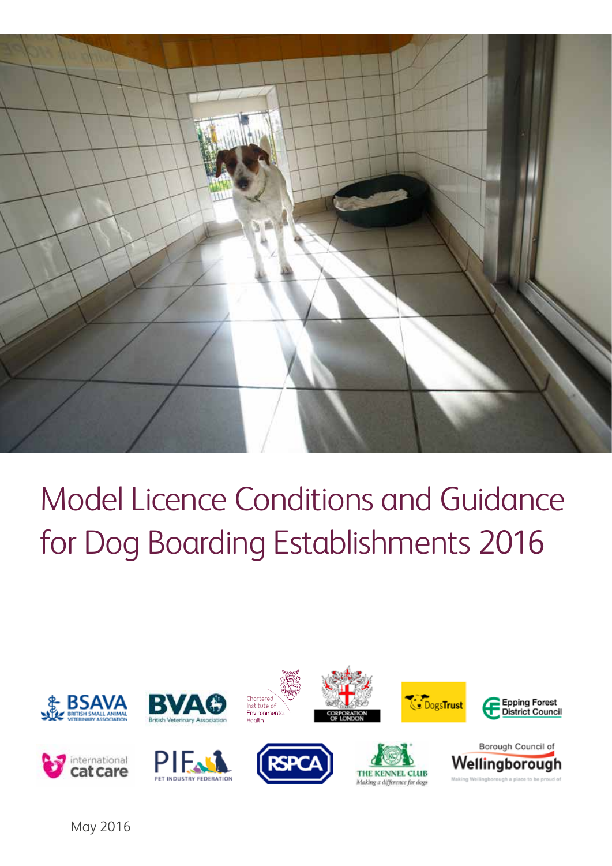

# Model Licence Conditions and Guidance for Dog Boarding Establishments 2016

























May 2016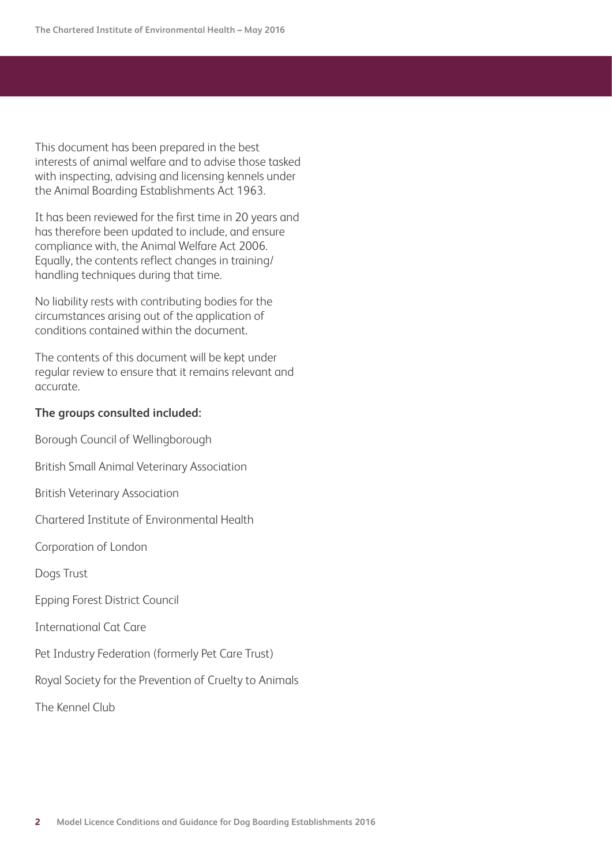This document has been prepared in the best interests of animal welfare and to advise those tasked with inspecting, advising and licensing kennels under the Animal Boarding Establishments Act 1963.

It has been reviewed for the first time in 20 years and has therefore been updated to include, and ensure compliance with, the Animal Welfare Act 2006. Equally, the contents reflect changes in training/ handling techniques during that time.

No liability rests with contributing bodies for the circumstances arising out of the application of conditions contained within the document.

The contents of this document will be kept under regular review to ensure that it remains relevant and accurate.

#### **The groups consulted included:**

Borough Council of Wellingborough

British Small Animal Veterinary Association

British Veterinary Association

Chartered Institute of Environmental Health

Corporation of London

Dogs Trust

Epping Forest District Council

International Cat Care

Pet Industry Federation (formerly Pet Care Trust)

Royal Society for the Prevention of Cruelty to Animals

The Kennel Club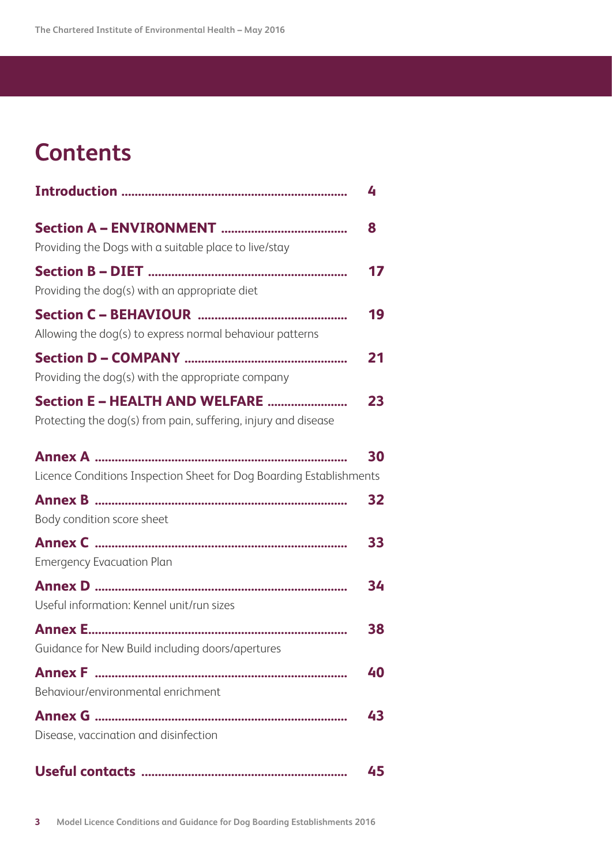# **Contents**

|                                                                     | 4  |
|---------------------------------------------------------------------|----|
|                                                                     | 8  |
| Providing the Dogs with a suitable place to live/stay               |    |
|                                                                     | 17 |
| Providing the dog(s) with an appropriate diet                       |    |
|                                                                     | 19 |
| Allowing the dog(s) to express normal behaviour patterns            |    |
|                                                                     | 21 |
| Providing the dog(s) with the appropriate company                   |    |
| Section E - HEALTH AND WELFARE                                      | 23 |
| Protecting the dog(s) from pain, suffering, injury and disease      |    |
| Annex A …………………………………………………………………                                   | 30 |
| Licence Conditions Inspection Sheet for Dog Boarding Establishments |    |
|                                                                     | 32 |
| Body condition score sheet                                          |    |
|                                                                     | 33 |
| <b>Emergency Evacuation Plan</b>                                    |    |
|                                                                     | 34 |
| Useful information: Kennel unit/run sizes                           |    |
|                                                                     | 38 |
| Guidance for New Build including doors/apertures                    |    |
|                                                                     | 40 |
| Behaviour/environmental enrichment                                  |    |
|                                                                     | 43 |
| Disease, vaccination and disinfection                               |    |
|                                                                     | 45 |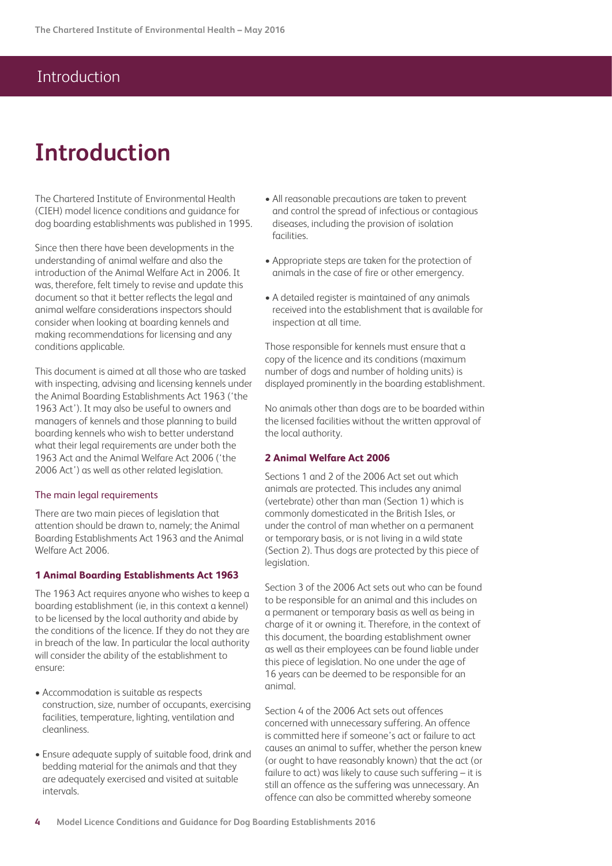# **Introduction**

The Chartered Institute of Environmental Health (CIEH) model licence conditions and guidance for dog boarding establishments was published in 1995.

Since then there have been developments in the understanding of animal welfare and also the introduction of the Animal Welfare Act in 2006. It was, therefore, felt timely to revise and update this document so that it better reflects the legal and animal welfare considerations inspectors should consider when looking at boarding kennels and making recommendations for licensing and any conditions applicable.

This document is aimed at all those who are tasked with inspecting, advising and licensing kennels under the Animal Boarding Establishments Act 1963 ('the 1963 Act'). It may also be useful to owners and managers of kennels and those planning to build boarding kennels who wish to better understand what their legal requirements are under both the 1963 Act and the Animal Welfare Act 2006 ('the 2006 Act') as well as other related legislation.

#### The main legal requirements

There are two main pieces of legislation that attention should be drawn to, namely; the Animal Boarding Establishments Act 1963 and the Animal Welfare Act 2006.

#### **1 Animal Boarding Establishments Act 1963**

The 1963 Act requires anyone who wishes to keep a boarding establishment (ie, in this context a kennel) to be licensed by the local authority and abide by the conditions of the licence. If they do not they are in breach of the law. In particular the local authority will consider the ability of the establishment to ensure:

- Accommodation is suitable as respects construction, size, number of occupants, exercising facilities, temperature, lighting, ventilation and cleanliness.
- Ensure adequate supply of suitable food, drink and bedding material for the animals and that they are adequately exercised and visited at suitable intervals.
- All reasonable precautions are taken to prevent and control the spread of infectious or contagious diseases, including the provision of isolation facilities.
- Appropriate steps are taken for the protection of animals in the case of fire or other emergency.
- A detailed register is maintained of any animals received into the establishment that is available for inspection at all time.

Those responsible for kennels must ensure that a copy of the licence and its conditions (maximum number of dogs and number of holding units) is displayed prominently in the boarding establishment.

No animals other than dogs are to be boarded within the licensed facilities without the written approval of the local authority.

#### **2 Animal Welfare Act 2006**

Sections 1 and 2 of the 2006 Act set out which animals are protected. This includes any animal (vertebrate) other than man (Section 1) which is commonly domesticated in the British Isles, or under the control of man whether on a permanent or temporary basis, or is not living in a wild state (Section 2). Thus dogs are protected by this piece of legislation.

Section 3 of the 2006 Act sets out who can be found to be responsible for an animal and this includes on a permanent or temporary basis as well as being in charge of it or owning it. Therefore, in the context of this document, the boarding establishment owner as well as their employees can be found liable under this piece of legislation. No one under the age of 16 years can be deemed to be responsible for an animal.

Section 4 of the 2006 Act sets out offences concerned with unnecessary suffering. An offence is committed here if someone's act or failure to act causes an animal to suffer, whether the person knew (or ought to have reasonably known) that the act (or failure to act) was likely to cause such suffering – it is still an offence as the suffering was unnecessary. An offence can also be committed whereby someone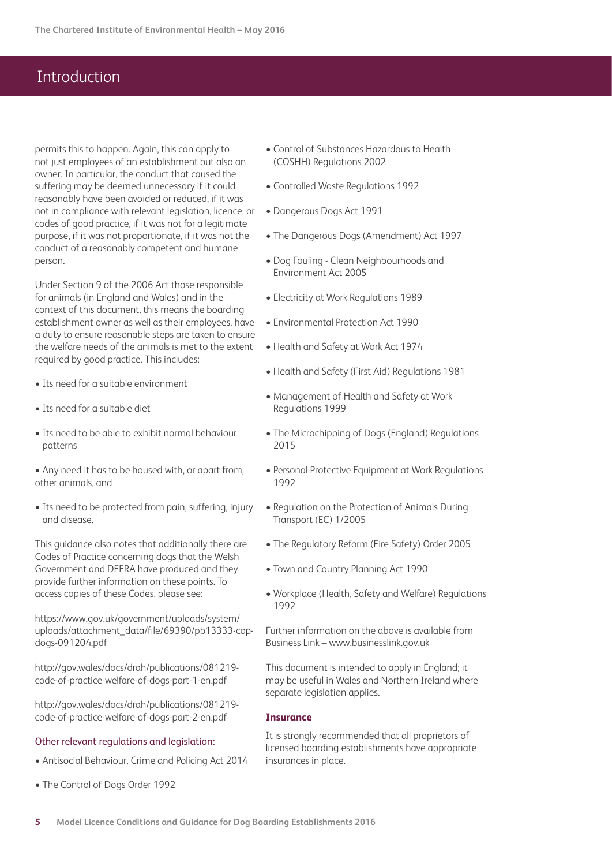permits this to happen. Again, this can apply to not just employees of an establishment but also an owner. In particular, the conduct that caused the suffering may be deemed unnecessary if it could reasonably have been avoided or reduced, if it was not in compliance with relevant legislation, licence, or codes of good practice, if it was not for a legitimate purpose, if it was not proportionate, if it was not the conduct of a reasonably competent and humane person.

Under Section 9 of the 2006 Act those responsible for animals (in England and Wales) and in the context of this document, this means the boarding establishment owner as well as their employees, have a duty to ensure reasonable steps are taken to ensure the welfare needs of the animals is met to the extent required by good practice. This includes:

- Its need for a suitable environment
- Its need for a suitable diet
- Its need to be able to exhibit normal behaviour patterns

• Any need it has to be housed with, or apart from, other animals, and

• Its need to be protected from pain, suffering, injury and disease.

This guidance also notes that additionally there are Codes of Practice concerning dogs that the Welsh Government and DEFRA have produced and they provide further information on these points. To access copies of these Codes, please see:

https://www.gov.uk/government/uploads/system/ uploads/attachment\_data/file/69390/pb13333-copdogs-091204.pdf

http://gov.wales/docs/drah/publications/081219 code-of-practice-welfare-of-dogs-part-1-en.pdf

http://gov.wales/docs/drah/publications/081219 code-of-practice-welfare-of-dogs-part-2-en.pdf

#### Other relevant regulations and legislation:

- Antisocial Behaviour, Crime and Policing Act 2014
- The Control of Dogs Order 1992
- Control of Substances Hazardous to Health (COSHH) Regulations 2002
- Controlled Waste Regulations 1992
- Dangerous Dogs Act 1991
- The Dangerous Dogs (Amendment) Act 1997
- Dog Fouling Clean Neighbourhoods and Environment Act 2005
- Electricity at Work Regulations 1989
- Environmental Protection Act 1990
- Health and Safety at Work Act 1974
- Health and Safety (First Aid) Regulations 1981
- Management of Health and Safety at Work Regulations 1999
- The Microchipping of Dogs (England) Regulations 2015
- Personal Protective Equipment at Work Regulations 1992
- Regulation on the Protection of Animals During Transport (EC) 1/2005
- The Regulatory Reform (Fire Safety) Order 2005
- Town and Country Planning Act 1990
- Workplace (Health, Safety and Welfare) Regulations 1992

Further information on the above is available from Business Link – www.businesslink.gov.uk

This document is intended to apply in England; it may be useful in Wales and Northern Ireland where separate legislation applies.

#### **Insurance**

It is strongly recommended that all proprietors of licensed boarding establishments have appropriate insurances in place.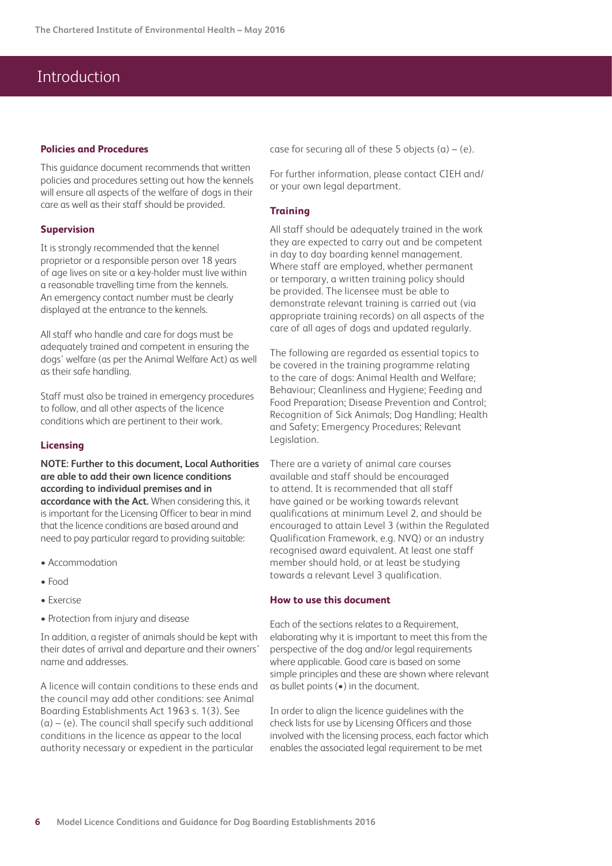#### **Policies and Procedures**

This guidance document recommends that written policies and procedures setting out how the kennels will ensure all aspects of the welfare of dogs in their care as well as their staff should be provided.

#### **Supervision**

It is strongly recommended that the kennel proprietor or a responsible person over 18 years of age lives on site or a key-holder must live within a reasonable travelling time from the kennels. An emergency contact number must be clearly displayed at the entrance to the kennels.

All staff who handle and care for dogs must be adequately trained and competent in ensuring the dogs' welfare (as per the Animal Welfare Act) as well as their safe handling.

Staff must also be trained in emergency procedures to follow, and all other aspects of the licence conditions which are pertinent to their work.

#### **Licensing**

#### **NOTE: Further to this document, Local Authorities are able to add their own licence conditions according to individual premises and in accordance with the Act.** When considering this, it is important for the Licensing Officer to bear in mind that the licence conditions are based around and need to pay particular regard to providing suitable:

- Accommodation
- Food
- Exercise
- Protection from injury and disease

In addition, a register of animals should be kept with their dates of arrival and departure and their owners' name and addresses.

A licence will contain conditions to these ends and the council may add other conditions: see Animal Boarding Establishments Act 1963 s. 1(3). See  $(a) - (e)$ . The council shall specify such additional conditions in the licence as appear to the local authority necessary or expedient in the particular

case for securing all of these 5 objects  $(a) - (e)$ .

For further information, please contact CIEH and/ or your own legal department.

#### **Training**

All staff should be adequately trained in the work they are expected to carry out and be competent in day to day boarding kennel management. Where staff are employed, whether permanent or temporary, a written training policy should be provided. The licensee must be able to demonstrate relevant training is carried out (via appropriate training records) on all aspects of the care of all ages of dogs and updated regularly.

The following are regarded as essential topics to be covered in the training programme relating to the care of dogs: Animal Health and Welfare; Behaviour; Cleanliness and Hygiene; Feeding and Food Preparation; Disease Prevention and Control; Recognition of Sick Animals; Dog Handling; Health and Safety; Emergency Procedures; Relevant Legislation.

There are a variety of animal care courses available and staff should be encouraged to attend. It is recommended that all staff have gained or be working towards relevant qualifications at minimum Level 2, and should be encouraged to attain Level 3 (within the Regulated Qualification Framework, e.g. NVQ) or an industry recognised award equivalent. At least one staff member should hold, or at least be studying towards a relevant Level 3 qualification.

#### **How to use this document**

Each of the sections relates to a Requirement, elaborating why it is important to meet this from the perspective of the dog and/or legal requirements where applicable. Good care is based on some simple principles and these are shown where relevant as bullet points (•) in the document.

In order to align the licence guidelines with the check lists for use by Licensing Officers and those involved with the licensing process, each factor which enables the associated legal requirement to be met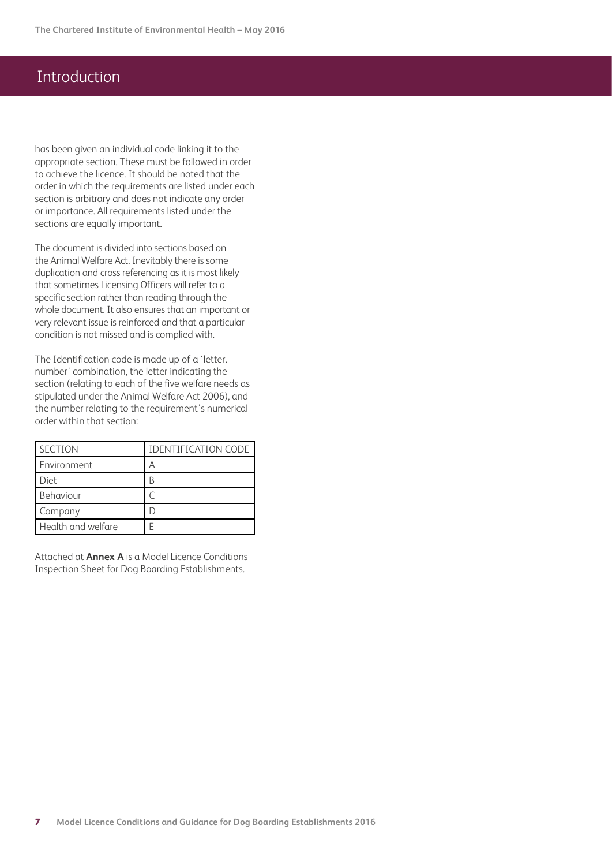has been given an individual code linking it to the appropriate section. These must be followed in order to achieve the licence. It should be noted that the order in which the requirements are listed under each section is arbitrary and does not indicate any order or importance. All requirements listed under the sections are equally important.

The document is divided into sections based on the Animal Welfare Act. Inevitably there is some duplication and cross referencing as it is most likely that sometimes Licensing Officers will refer to a specific section rather than reading through the whole document. It also ensures that an important or very relevant issue is reinforced and that a particular condition is not missed and is complied with.

The Identification code is made up of a 'letter. number' combination, the letter indicating the section (relating to each of the five welfare needs as stipulated under the Animal Welfare Act 2006), and the number relating to the requirement's numerical order within that section:

| <b>SECTION</b>     | <b>IDENTIFICATION CODE</b> |
|--------------------|----------------------------|
| Environment        |                            |
| Diet               | В                          |
| Behaviour          |                            |
| Company            |                            |
| Health and welfare |                            |

Attached at **Annex A** is a Model Licence Conditions Inspection Sheet for Dog Boarding Establishments.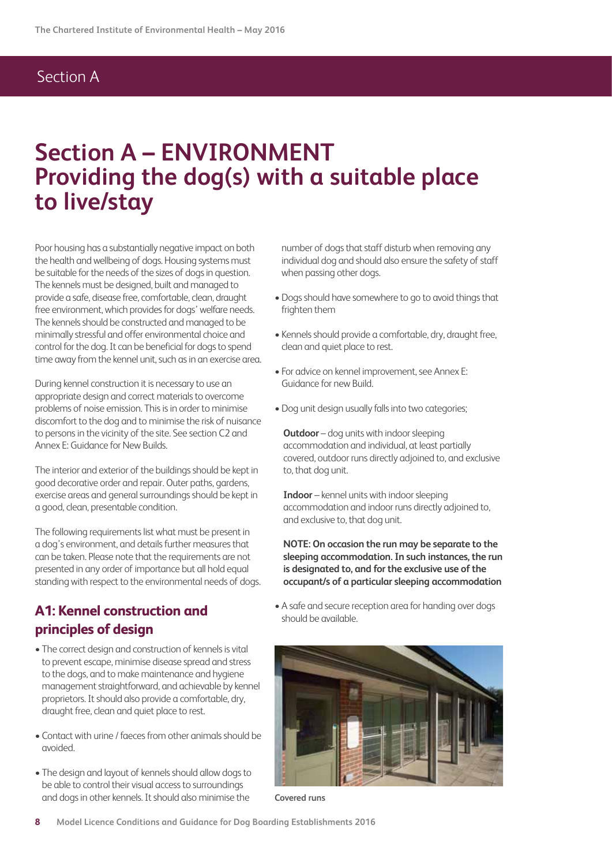# **Section A – ENVIRONMENT Providing the dog(s) with a suitable place to live/stay**

Poor housing has a substantially negative impact on both the health and wellbeing of dogs. Housing systems must be suitable for the needs of the sizes of dogs in question. The kennels must be designed, built and managed to provide a safe, disease free, comfortable, clean, draught free environment, which provides for dogs' welfare needs. The kennels should be constructed and managed to be minimally stressful and offer environmental choice and control for the dog. It can be beneficial for dogs to spend time away from the kennel unit, such as in an exercise area.

During kennel construction it is necessary to use an appropriate design and correct materials to overcome problems of noise emission. This is in order to minimise discomfort to the dog and to minimise the risk of nuisance to persons in the vicinity of the site. See section C2 and Annex E: Guidance for New Builds.

The interior and exterior of the buildings should be kept in good decorative order and repair. Outer paths, gardens, exercise areas and general surroundings should be kept in a good, clean, presentable condition.

The following requirements list what must be present in a dog's environment, and details further measures that can be taken. Please note that the requirements are not presented in any order of importance but all hold equal standing with respect to the environmental needs of dogs.

### **A1: Kennel construction and principles of design**

- The correct design and construction of kennels is vital to prevent escape, minimise disease spread and stress to the dogs, and to make maintenance and hygiene management straightforward, and achievable by kennel proprietors. It should also provide a comfortable, dry, draught free, clean and quiet place to rest.
- Contact with urine / faeces from other animals should be avoided.
- The design and layout of kennels should allow dogs to be able to control their visual access to surroundings and dogs in other kennels. It should also minimise the

number of dogs that staff disturb when removing any individual dog and should also ensure the safety of staff when passing other dogs.

- Dogs should have somewhere to go to avoid things that frighten them
- Kennels should provide a comfortable, dry, draught free, clean and quiet place to rest.
- For advice on kennel improvement, see Annex E: Guidance for new Build.
- Dog unit design usually falls into two categories;

**Outdoor** – dog units with indoor sleeping accommodation and individual, at least partially covered, outdoor runs directly adjoined to, and exclusive to, that dog unit.

**Indoor** – kennel units with indoor sleeping accommodation and indoor runs directly adjoined to, and exclusive to, that dog unit.

**NOTE: On occasion the run may be separate to the sleeping accommodation. In such instances, the run is designated to, and for the exclusive use of the occupant/s of a particular sleeping accommodation**

• A safe and secure reception area for handing over dogs should be available.



**Covered runs**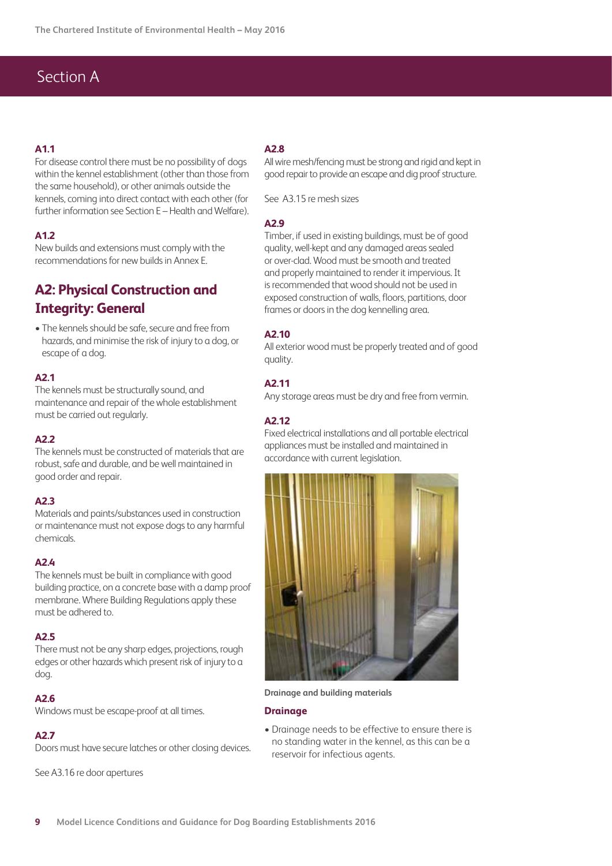#### **A1.1**

For disease control there must be no possibility of dogs within the kennel establishment (other than those from the same household), or other animals outside the kennels, coming into direct contact with each other (for further information see Section E – Health and Welfare).

#### **A1.2**

New builds and extensions must comply with the recommendations for new builds in Annex E.

## **A2: Physical Construction and Integrity: General**

• The kennels should be safe, secure and free from hazards, and minimise the risk of injury to a dog, or escape of a dog.

#### **A2.1**

The kennels must be structurally sound, and maintenance and repair of the whole establishment must be carried out regularly.

#### **A2.2**

The kennels must be constructed of materials that are robust, safe and durable, and be well maintained in good order and repair.

#### **A2.3**

Materials and paints/substances used in construction or maintenance must not expose dogs to any harmful chemicals.

#### **A2.4**

The kennels must be built in compliance with good building practice, on a concrete base with a damp proof membrane. Where Building Regulations apply these must be adhered to.

#### **A2.5**

There must not be any sharp edges, projections, rough edges or other hazards which present risk of injury to a dog.

#### **A2.6**

Windows must be escape-proof at all times.

#### **A2.7**

Doors must have secure latches or other closing devices.

See A3.16 re door apertures

#### **A2.8**

All wire mesh/fencing must be strong and rigid and kept in good repair to provide an escape and dig proof structure.

See A3.15 re mesh sizes

#### **A2.9**

Timber, if used in existing buildings, must be of good quality, well-kept and any damaged areas sealed or over-clad. Wood must be smooth and treated and properly maintained to render it impervious. It is recommended that wood should not be used in exposed construction of walls, floors, partitions, door frames or doors in the dog kennelling area.

#### **A2.10**

All exterior wood must be properly treated and of good quality.

#### **A2.11**

Any storage areas must be dry and free from vermin.

#### **A2.12**

Fixed electrical installations and all portable electrical appliances must be installed and maintained in accordance with current legislation.



**Drainage and building materials**

#### **Drainage**

• Drainage needs to be effective to ensure there is no standing water in the kennel, as this can be a reservoir for infectious agents.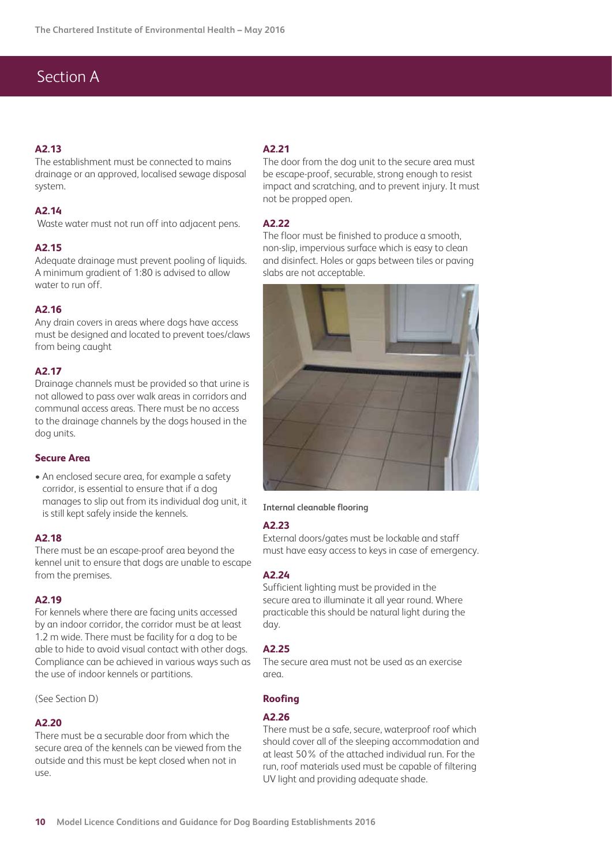#### **A2.13**

The establishment must be connected to mains drainage or an approved, localised sewage disposal system.

#### **A2.14**

Waste water must not run off into adjacent pens.

#### **A2.15**

Adequate drainage must prevent pooling of liquids. A minimum gradient of 1:80 is advised to allow water to run off.

#### **A2.16**

Any drain covers in areas where dogs have access must be designed and located to prevent toes/claws from being caught

#### **A2.17**

Drainage channels must be provided so that urine is not allowed to pass over walk areas in corridors and communal access areas. There must be no access to the drainage channels by the dogs housed in the dog units.

#### **Secure Area**

• An enclosed secure area, for example a safety corridor, is essential to ensure that if a dog manages to slip out from its individual dog unit, it is still kept safely inside the kennels.

#### **A2.18**

There must be an escape-proof area beyond the kennel unit to ensure that dogs are unable to escape from the premises.

#### **A2.19**

For kennels where there are facing units accessed by an indoor corridor, the corridor must be at least 1.2 m wide. There must be facility for a dog to be able to hide to avoid visual contact with other dogs. Compliance can be achieved in various ways such as the use of indoor kennels or partitions.

(See Section D)

#### **A2.20**

There must be a securable door from which the secure area of the kennels can be viewed from the outside and this must be kept closed when not in use.

#### **A2.21**

The door from the dog unit to the secure area must be escape-proof, securable, strong enough to resist impact and scratching, and to prevent injury. It must not be propped open.

#### **A2.22**

The floor must be finished to produce a smooth, non-slip, impervious surface which is easy to clean and disinfect. Holes or gaps between tiles or paving slabs are not acceptable.



#### **Internal cleanable flooring**

#### **A2.23**

External doors/gates must be lockable and staff must have easy access to keys in case of emergency.

#### **A2.24**

Sufficient lighting must be provided in the secure area to illuminate it all year round. Where practicable this should be natural light during the day.

#### **A2.25**

The secure area must not be used as an exercise area.

#### **Roofing**

#### **A2.26**

There must be a safe, secure, waterproof roof which should cover all of the sleeping accommodation and at least 50% of the attached individual run. For the run, roof materials used must be capable of filtering UV light and providing adequate shade.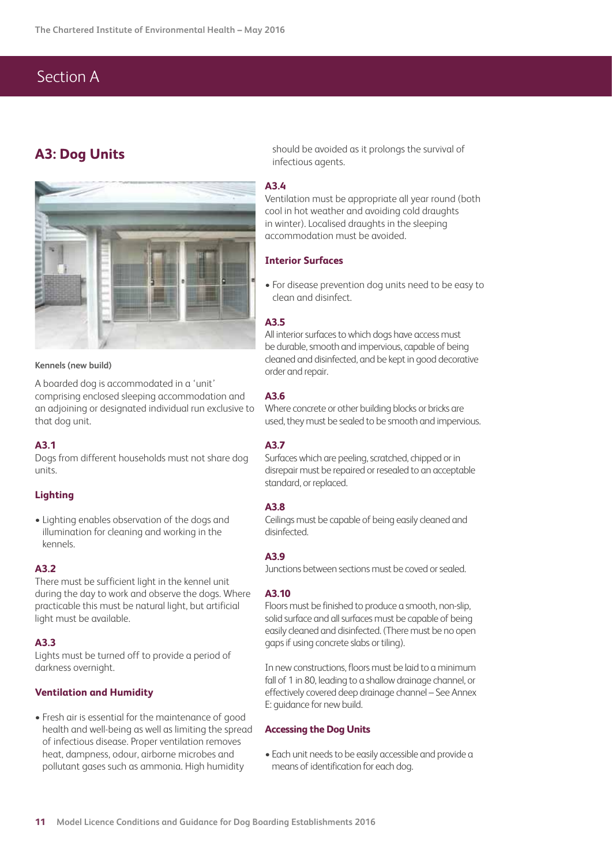## **A3: Dog Units**



#### **Kennels (new build)**

A boarded dog is accommodated in a 'unit' comprising enclosed sleeping accommodation and an adjoining or designated individual run exclusive to that dog unit.

#### **A3.1**

Dogs from different households must not share dog units.

#### **Lighting**

• Lighting enables observation of the dogs and illumination for cleaning and working in the kennels.

#### **A3.2**

There must be sufficient light in the kennel unit during the day to work and observe the dogs. Where practicable this must be natural light, but artificial light must be available.

#### **A3.3**

Lights must be turned off to provide a period of darkness overnight.

#### **Ventilation and Humidity**

• Fresh air is essential for the maintenance of good health and well-being as well as limiting the spread of infectious disease. Proper ventilation removes heat, dampness, odour, airborne microbes and pollutant gases such as ammonia. High humidity

should be avoided as it prolongs the survival of infectious agents.

#### **A3.4**

Ventilation must be appropriate all year round (both cool in hot weather and avoiding cold draughts in winter). Localised draughts in the sleeping accommodation must be avoided.

#### **Interior Surfaces**

• For disease prevention dog units need to be easy to clean and disinfect.

#### **A3.5**

All interior surfaces to which dogs have access must be durable, smooth and impervious, capable of being cleaned and disinfected, and be kept in good decorative order and repair.

#### **A3.6**

Where concrete or other building blocks or bricks are used, they must be sealed to be smooth and impervious.

#### **A3.7**

Surfaces which are peeling, scratched, chipped or in disrepair must be repaired or resealed to an acceptable standard, or replaced.

#### **A3.8**

Ceilings must be capable of being easily cleaned and disinfected.

#### **A3.9**

Junctions between sections must be coved or sealed.

#### **A3.10**

Floors must be finished to produce a smooth, non-slip, solid surface and all surfaces must be capable of being easily cleaned and disinfected. (There must be no open gaps if using concrete slabs or tiling).

In new constructions, floors must be laid to a minimum fall of 1 in 80, leading to a shallow drainage channel, or effectively covered deep drainage channel – See Annex E: guidance for new build.

#### **Accessing the Dog Units**

• Each unit needs to be easily accessible and provide a means of identification for each dog.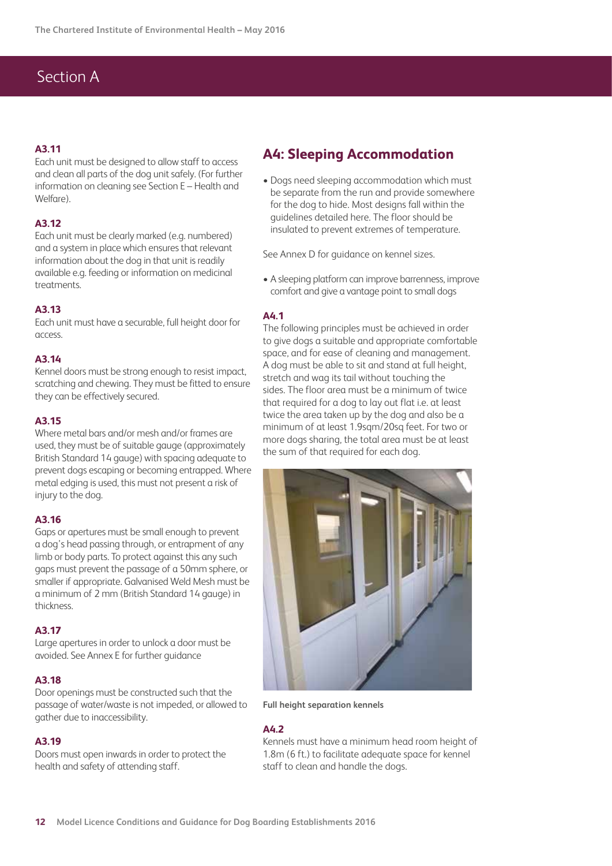#### **A3.11**

Each unit must be designed to allow staff to access and clean all parts of the dog unit safely. (For further information on cleaning see Section E – Health and Welfare).

#### **A3.12**

Each unit must be clearly marked (e.g. numbered) and a system in place which ensures that relevant information about the dog in that unit is readily available e.g. feeding or information on medicinal treatments.

#### **A3.13**

Each unit must have a securable, full height door for access.

#### **A3.14**

Kennel doors must be strong enough to resist impact, scratching and chewing. They must be fitted to ensure they can be effectively secured.

#### **A3.15**

Where metal bars and/or mesh and/or frames are used, they must be of suitable gauge (approximately British Standard 14 gauge) with spacing adequate to prevent dogs escaping or becoming entrapped. Where metal edging is used, this must not present a risk of injury to the dog.

#### **A3.16**

Gaps or apertures must be small enough to prevent a dog's head passing through, or entrapment of any limb or body parts. To protect against this any such gaps must prevent the passage of a 50mm sphere, or smaller if appropriate. Galvanised Weld Mesh must be a minimum of 2 mm (British Standard 14 gauge) in thickness.

#### **A3.17**

Large apertures in order to unlock a door must be avoided. See Annex E for further guidance

#### **A3.18**

Door openings must be constructed such that the passage of water/waste is not impeded, or allowed to gather due to inaccessibility.

#### **A3.19**

Doors must open inwards in order to protect the health and safety of attending staff.

### **A4: Sleeping Accommodation**

• Dogs need sleeping accommodation which must be separate from the run and provide somewhere for the dog to hide. Most designs fall within the guidelines detailed here. The floor should be insulated to prevent extremes of temperature.

See Annex D for guidance on kennel sizes.

• A sleeping platform can improve barrenness, improve comfort and give a vantage point to small dogs

#### **A4.1**

The following principles must be achieved in order to give dogs a suitable and appropriate comfortable space, and for ease of cleaning and management. A dog must be able to sit and stand at full height, stretch and wag its tail without touching the sides. The floor area must be a minimum of twice that required for a dog to lay out flat i.e. at least twice the area taken up by the dog and also be a minimum of at least 1.9sqm/20sq feet. For two or more dogs sharing, the total area must be at least the sum of that required for each dog.



**Full height separation kennels**

#### **A4.2**

Kennels must have a minimum head room height of 1.8m (6 ft.) to facilitate adequate space for kennel staff to clean and handle the dogs.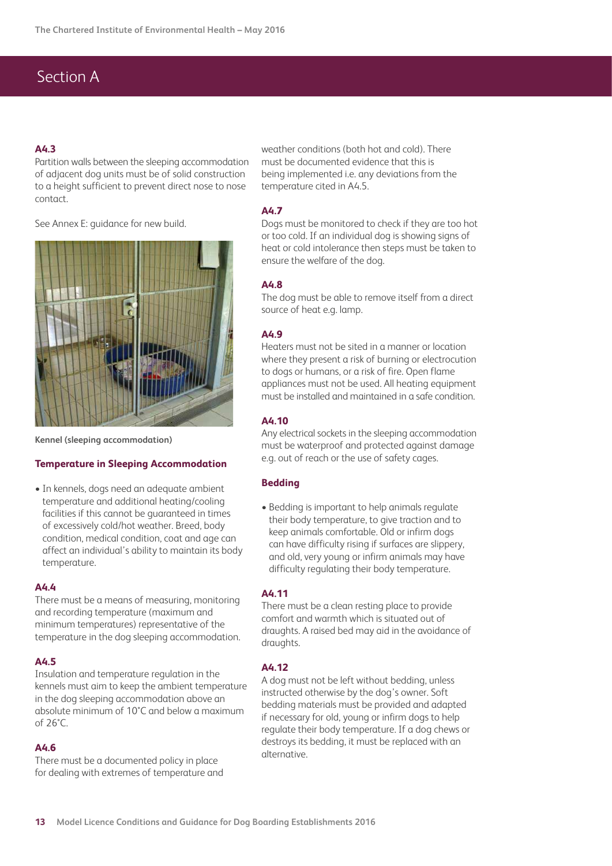#### **A4.3**

Partition walls between the sleeping accommodation of adjacent dog units must be of solid construction to a height sufficient to prevent direct nose to nose contact.

See Annex E: guidance for new build.



**Kennel (sleeping accommodation)**

#### **Temperature in Sleeping Accommodation**

• In kennels, dogs need an adequate ambient temperature and additional heating/cooling facilities if this cannot be guaranteed in times of excessively cold/hot weather. Breed, body condition, medical condition, coat and age can affect an individual's ability to maintain its body temperature.

#### **A4.4**

There must be a means of measuring, monitoring and recording temperature (maximum and minimum temperatures) representative of the temperature in the dog sleeping accommodation.

#### **A4.5**

Insulation and temperature regulation in the kennels must aim to keep the ambient temperature in the dog sleeping accommodation above an absolute minimum of 10°C and below a maximum of 26°C.

#### **A4.6**

There must be a documented policy in place for dealing with extremes of temperature and weather conditions (both hot and cold). There must be documented evidence that this is being implemented i.e. any deviations from the temperature cited in A4.5.

#### **A4.7**

Dogs must be monitored to check if they are too hot or too cold. If an individual dog is showing signs of heat or cold intolerance then steps must be taken to ensure the welfare of the dog.

#### **A4.8**

The dog must be able to remove itself from a direct source of heat e.g. lamp.

#### **A4.9**

Heaters must not be sited in a manner or location where they present a risk of burning or electrocution to dogs or humans, or a risk of fire. Open flame appliances must not be used. All heating equipment must be installed and maintained in a safe condition.

#### **A4.10**

Any electrical sockets in the sleeping accommodation must be waterproof and protected against damage e.g. out of reach or the use of safety cages.

#### **Bedding**

• Bedding is important to help animals regulate their body temperature, to give traction and to keep animals comfortable. Old or infirm dogs can have difficulty rising if surfaces are slippery, and old, very young or infirm animals may have difficulty regulating their body temperature.

#### **A4.11**

There must be a clean resting place to provide comfort and warmth which is situated out of draughts. A raised bed may aid in the avoidance of draughts.

#### **A4.12**

A dog must not be left without bedding, unless instructed otherwise by the dog's owner. Soft bedding materials must be provided and adapted if necessary for old, young or infirm dogs to help regulate their body temperature. If a dog chews or destroys its bedding, it must be replaced with an alternative.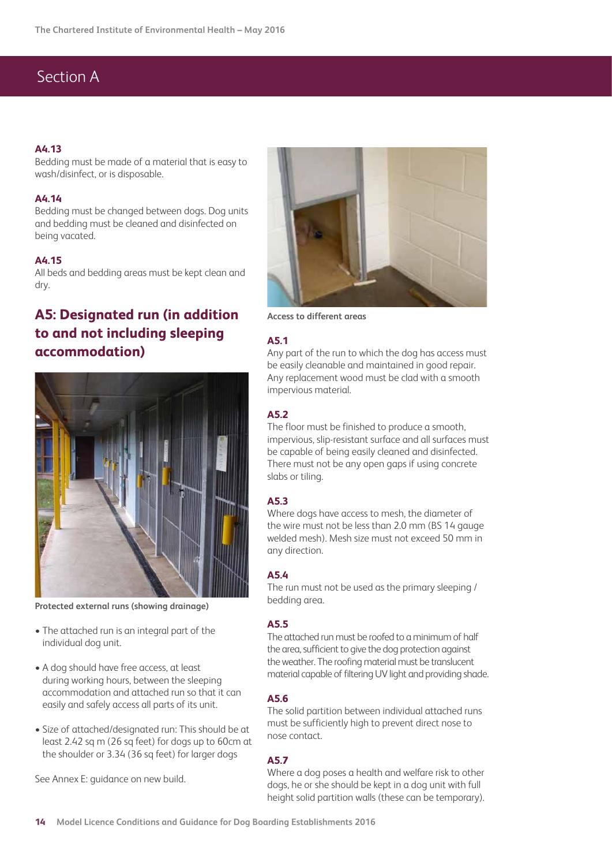#### **A4.13**

Bedding must be made of a material that is easy to wash/disinfect, or is disposable.

#### **A4.14**

Bedding must be changed between dogs. Dog units and bedding must be cleaned and disinfected on being vacated.

#### **A4.15**

All beds and bedding areas must be kept clean and dry.

# **A5: Designated run (in addition to and not including sleeping accommodation)**



**Protected external runs (showing drainage)**

- The attached run is an integral part of the individual dog unit.
- A dog should have free access, at least during working hours, between the sleeping accommodation and attached run so that it can easily and safely access all parts of its unit.
- Size of attached/designated run: This should be at least 2.42 sq m (26 sq feet) for dogs up to 60cm at the shoulder or 3.34 (36 sq feet) for larger dogs

See Annex E: guidance on new build.



**Access to different areas**

#### **A5.1**

Any part of the run to which the dog has access must be easily cleanable and maintained in good repair. Any replacement wood must be clad with a smooth impervious material.

#### **A5.2**

The floor must be finished to produce a smooth, impervious, slip-resistant surface and all surfaces must be capable of being easily cleaned and disinfected. There must not be any open gaps if using concrete slabs or tiling.

#### **A5.3**

Where dogs have access to mesh, the diameter of the wire must not be less than 2.0 mm (BS 14 gauge) welded mesh). Mesh size must not exceed 50 mm in any direction.

#### **A5.4**

The run must not be used as the primary sleeping / bedding area.

#### **A5.5**

The attached run must be roofed to a minimum of half the area, sufficient to give the dog protection against the weather. The roofing material must be translucent material capable of filtering UV light and providing shade.

#### **A5.6**

The solid partition between individual attached runs must be sufficiently high to prevent direct nose to nose contact.

#### **A5.7**

Where a dog poses a health and welfare risk to other dogs, he or she should be kept in a dog unit with full height solid partition walls (these can be temporary).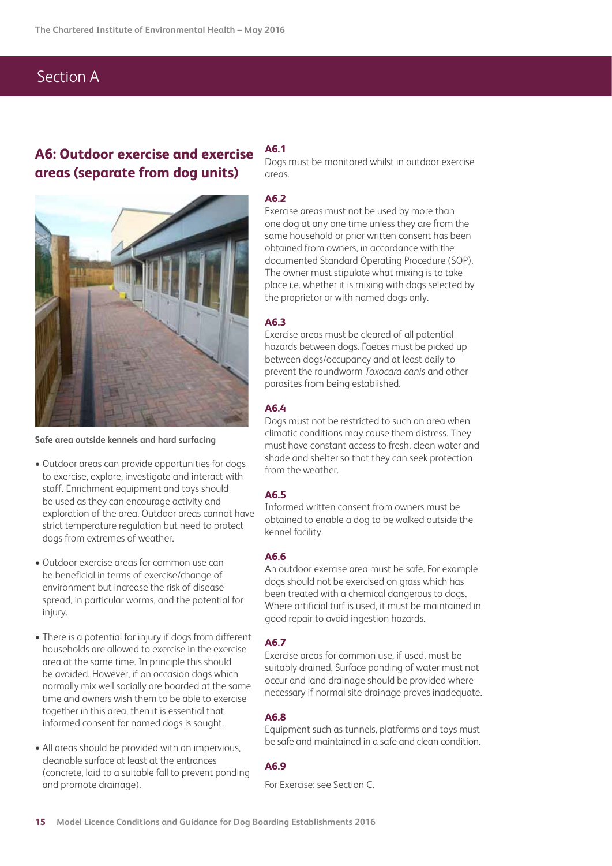## **A6: Outdoor exercise and exercise areas (separate from dog units)**



**Safe area outside kennels and hard surfacing**

- Outdoor areas can provide opportunities for dogs to exercise, explore, investigate and interact with staff. Enrichment equipment and toys should be used as they can encourage activity and exploration of the area. Outdoor areas cannot have strict temperature regulation but need to protect dogs from extremes of weather.
- Outdoor exercise areas for common use can be beneficial in terms of exercise/change of environment but increase the risk of disease spread, in particular worms, and the potential for injury.
- There is a potential for injury if dogs from different households are allowed to exercise in the exercise area at the same time. In principle this should be avoided. However, if on occasion dogs which normally mix well socially are boarded at the same time and owners wish them to be able to exercise together in this area, then it is essential that informed consent for named dogs is sought.
- All areas should be provided with an impervious, cleanable surface at least at the entrances (concrete, laid to a suitable fall to prevent ponding and promote drainage).

#### **A6.1**

Dogs must be monitored whilst in outdoor exercise areas.

#### **A6.2**

Exercise areas must not be used by more than one dog at any one time unless they are from the same household or prior written consent has been obtained from owners, in accordance with the documented Standard Operating Procedure (SOP). The owner must stipulate what mixing is to take place i.e. whether it is mixing with dogs selected by the proprietor or with named dogs only.

#### **A6.3**

Exercise areas must be cleared of all potential hazards between dogs. Faeces must be picked up between dogs/occupancy and at least daily to prevent the roundworm *Toxocara canis* and other parasites from being established.

#### **A6.4**

Dogs must not be restricted to such an area when climatic conditions may cause them distress. They must have constant access to fresh, clean water and shade and shelter so that they can seek protection from the weather.

#### **A6.5**

Informed written consent from owners must be obtained to enable a dog to be walked outside the kennel facility.

#### **A6.6**

An outdoor exercise area must be safe. For example dogs should not be exercised on grass which has been treated with a chemical dangerous to dogs. Where artificial turf is used, it must be maintained in good repair to avoid ingestion hazards.

#### **A6.7**

Exercise areas for common use, if used, must be suitably drained. Surface ponding of water must not occur and land drainage should be provided where necessary if normal site drainage proves inadequate.

#### **A6.8**

Equipment such as tunnels, platforms and toys must be safe and maintained in a safe and clean condition.

#### **A6.9**

For Exercise: see Section C.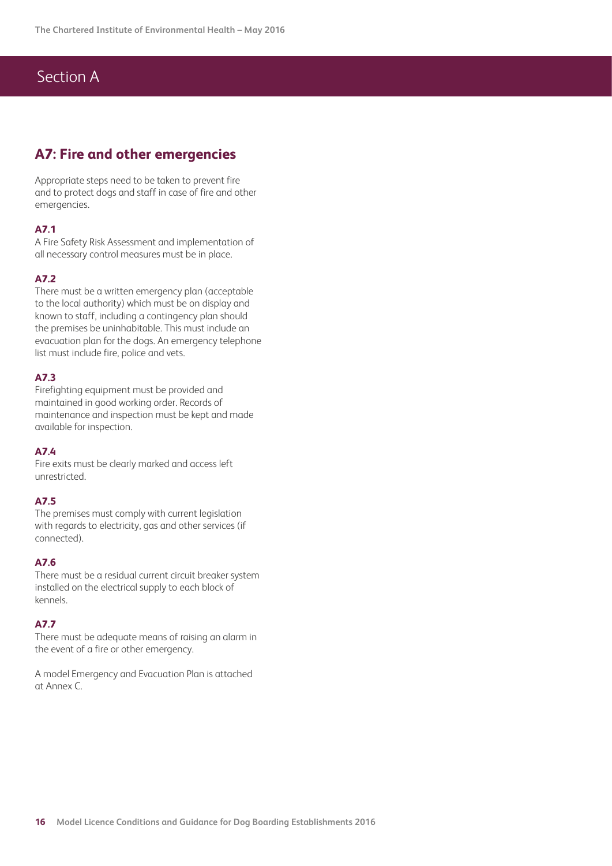### **A7: Fire and other emergencies**

Appropriate steps need to be taken to prevent fire and to protect dogs and staff in case of fire and other emergencies.

#### **A7.1**

A Fire Safety Risk Assessment and implementation of all necessary control measures must be in place.

#### **A7.2**

There must be a written emergency plan (acceptable to the local authority) which must be on display and known to staff, including a contingency plan should the premises be uninhabitable. This must include an evacuation plan for the dogs. An emergency telephone list must include fire, police and vets.

#### **A7.3**

Firefighting equipment must be provided and maintained in good working order. Records of maintenance and inspection must be kept and made available for inspection.

#### **A7.4**

Fire exits must be clearly marked and access left unrestricted.

#### **A7.5**

The premises must comply with current legislation with regards to electricity, gas and other services (if connected).

#### **A7.6**

There must be a residual current circuit breaker system installed on the electrical supply to each block of kennels.

#### **A7.7**

There must be adequate means of raising an alarm in the event of a fire or other emergency.

A model Emergency and Evacuation Plan is attached at Annex C.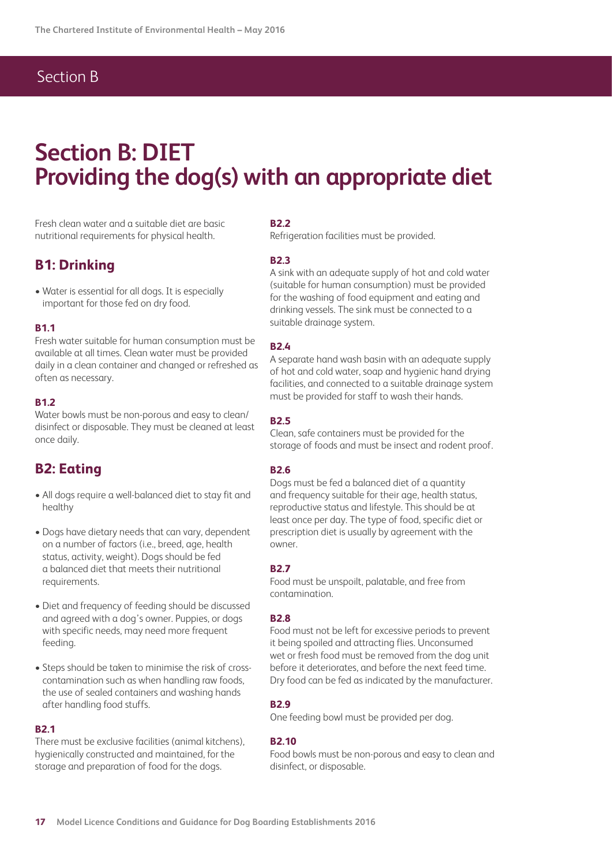## Section B

# **Section B: DIET Providing the dog(s) with an appropriate diet**

Fresh clean water and a suitable diet are basic nutritional requirements for physical health.

### **B1: Drinking**

• Water is essential for all dogs. It is especially important for those fed on dry food.

#### **B1.1**

Fresh water suitable for human consumption must be available at all times. Clean water must be provided daily in a clean container and changed or refreshed as often as necessary.

#### **B1.2**

Water bowls must be non-porous and easy to clean/ disinfect or disposable. They must be cleaned at least once daily.

### **B2: Eating**

- All dogs require a well-balanced diet to stay fit and healthy
- Dogs have dietary needs that can vary, dependent on a number of factors (i.e., breed, age, health status, activity, weight). Dogs should be fed a balanced diet that meets their nutritional requirements.
- Diet and frequency of feeding should be discussed and agreed with a dog's owner. Puppies, or dogs with specific needs, may need more frequent feeding.
- Steps should be taken to minimise the risk of crosscontamination such as when handling raw foods, the use of sealed containers and washing hands after handling food stuffs.

#### **B2.1**

There must be exclusive facilities (animal kitchens), hygienically constructed and maintained, for the storage and preparation of food for the dogs.

#### **B2.2**

Refrigeration facilities must be provided.

#### **B2.3**

A sink with an adequate supply of hot and cold water (suitable for human consumption) must be provided for the washing of food equipment and eating and drinking vessels. The sink must be connected to a suitable drainage system.

#### **B2.4**

A separate hand wash basin with an adequate supply of hot and cold water, soap and hygienic hand drying facilities, and connected to a suitable drainage system must be provided for staff to wash their hands.

#### **B2.5**

Clean, safe containers must be provided for the storage of foods and must be insect and rodent proof.

#### **B2.6**

Dogs must be fed a balanced diet of a quantity and frequency suitable for their age, health status, reproductive status and lifestyle. This should be at least once per day. The type of food, specific diet or prescription diet is usually by agreement with the owner.

#### **B2.7**

Food must be unspoilt, palatable, and free from contamination.

#### **B2.8**

Food must not be left for excessive periods to prevent it being spoiled and attracting flies. Unconsumed wet or fresh food must be removed from the dog unit before it deteriorates, and before the next feed time. Dry food can be fed as indicated by the manufacturer.

#### **B2.9**

One feeding bowl must be provided per dog.

#### **B2.10**

Food bowls must be non-porous and easy to clean and disinfect, or disposable.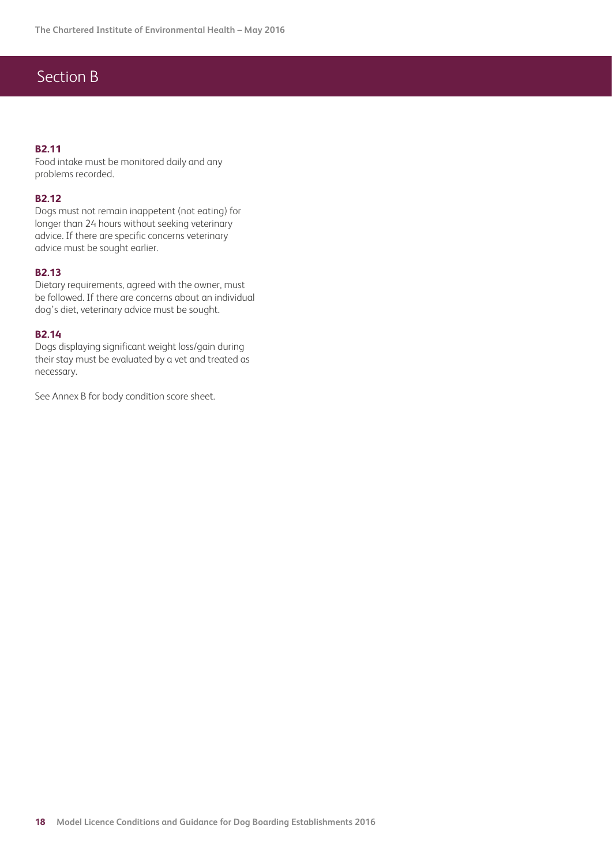# Section B

#### **B2.11**

Food intake must be monitored daily and any problems recorded.

#### **B2.12**

Dogs must not remain inappetent (not eating) for longer than 24 hours without seeking veterinary advice. If there are specific concerns veterinary advice must be sought earlier.

#### **B2.13**

Dietary requirements, agreed with the owner, must be followed. If there are concerns about an individual dog's diet, veterinary advice must be sought.

#### **B2.14**

Dogs displaying significant weight loss/gain during their stay must be evaluated by a vet and treated as necessary.

See Annex B for body condition score sheet.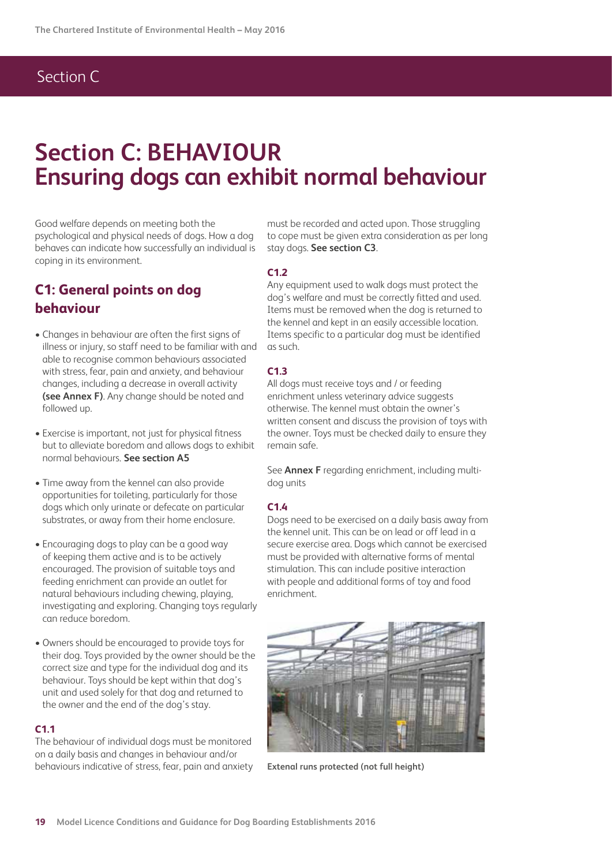# Section C

# **Section C: BEHAVIOUR Ensuring dogs can exhibit normal behaviour**

Good welfare depends on meeting both the psychological and physical needs of dogs. How a dog behaves can indicate how successfully an individual is coping in its environment.

## **C1: General points on dog behaviour**

- Changes in behaviour are often the first signs of illness or injury, so staff need to be familiar with and able to recognise common behaviours associated with stress, fear, pain and anxiety, and behaviour changes, including a decrease in overall activity **(see Annex F)**. Any change should be noted and followed up.
- Exercise is important, not just for physical fitness but to alleviate boredom and allows dogs to exhibit normal behaviours. **See section A5**
- Time away from the kennel can also provide opportunities for toileting, particularly for those dogs which only urinate or defecate on particular substrates, or away from their home enclosure.
- Encouraging dogs to play can be a good way of keeping them active and is to be actively encouraged. The provision of suitable toys and feeding enrichment can provide an outlet for natural behaviours including chewing, playing, investigating and exploring. Changing toys regularly can reduce boredom.
- Owners should be encouraged to provide toys for their dog. Toys provided by the owner should be the correct size and type for the individual dog and its behaviour. Toys should be kept within that dog's unit and used solely for that dog and returned to the owner and the end of the dog's stay.

#### **C1.1**

The behaviour of individual dogs must be monitored on a daily basis and changes in behaviour and/or behaviours indicative of stress, fear, pain and anxiety

must be recorded and acted upon. Those struggling to cope must be given extra consideration as per long stay dogs. **See section C3**.

#### **C1.2**

Any equipment used to walk dogs must protect the dog's welfare and must be correctly fitted and used. Items must be removed when the dog is returned to the kennel and kept in an easily accessible location. Items specific to a particular dog must be identified as such.

#### **C1.3**

All dogs must receive toys and / or feeding enrichment unless veterinary advice suggests otherwise. The kennel must obtain the owner's written consent and discuss the provision of toys with the owner. Toys must be checked daily to ensure they remain safe.

See **Annex F** regarding enrichment, including multidog units

#### **C1.4**

Dogs need to be exercised on a daily basis away from the kennel unit. This can be on lead or off lead in a secure exercise area. Dogs which cannot be exercised must be provided with alternative forms of mental stimulation. This can include positive interaction with people and additional forms of toy and food enrichment.



**Extenal runs protected (not full height)**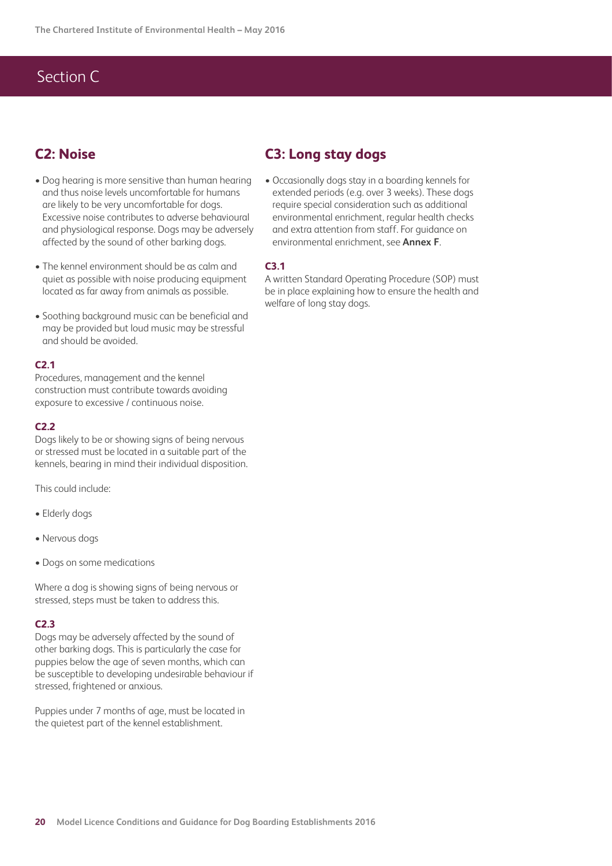# Section C

## **C2: Noise**

- Dog hearing is more sensitive than human hearing and thus noise levels uncomfortable for humans are likely to be very uncomfortable for dogs. Excessive noise contributes to adverse behavioural and physiological response. Dogs may be adversely affected by the sound of other barking dogs.
- The kennel environment should be as calm and quiet as possible with noise producing equipment located as far away from animals as possible.
- Soothing background music can be beneficial and may be provided but loud music may be stressful and should be avoided.

#### **C2.1**

Procedures, management and the kennel construction must contribute towards avoiding exposure to excessive / continuous noise.

#### **C2.2**

Dogs likely to be or showing signs of being nervous or stressed must be located in a suitable part of the kennels, bearing in mind their individual disposition.

This could include:

- Elderly dogs
- Nervous dogs
- Dogs on some medications

Where a dog is showing signs of being nervous or stressed, steps must be taken to address this.

#### **C2.3**

Dogs may be adversely affected by the sound of other barking dogs. This is particularly the case for puppies below the age of seven months, which can be susceptible to developing undesirable behaviour if stressed, frightened or anxious.

Puppies under 7 months of age, must be located in the quietest part of the kennel establishment.

### **C3: Long stay dogs**

• Occasionally dogs stay in a boarding kennels for extended periods (e.g. over 3 weeks). These dogs require special consideration such as additional environmental enrichment, regular health checks and extra attention from staff. For guidance on environmental enrichment, see **Annex F**.

#### **C3.1**

A written Standard Operating Procedure (SOP) must be in place explaining how to ensure the health and welfare of long stay dogs.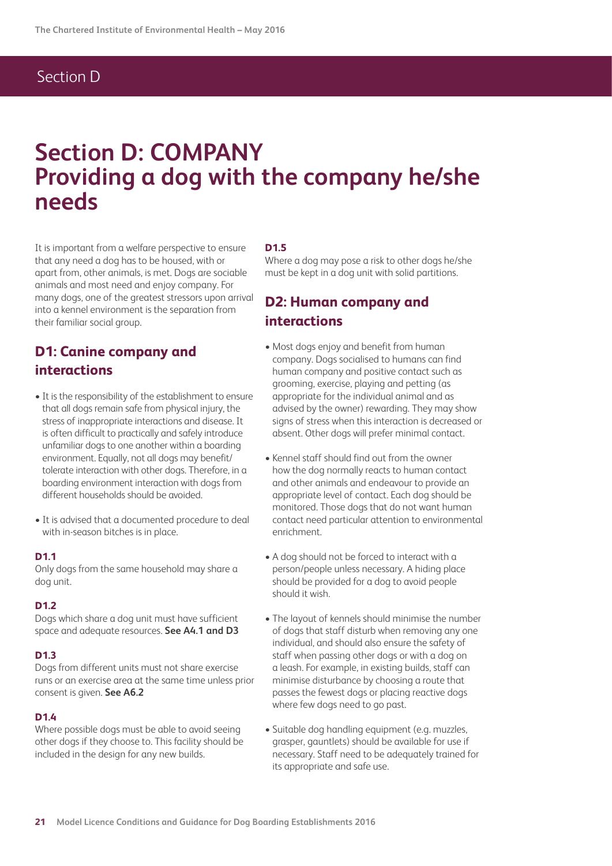## Section D

# **Section D: COMPANY Providing a dog with the company he/she needs**

It is important from a welfare perspective to ensure that any need a dog has to be housed, with or apart from, other animals, is met. Dogs are sociable animals and most need and enjoy company. For many dogs, one of the greatest stressors upon arrival into a kennel environment is the separation from their familiar social group.

### **D1: Canine company and interactions**

- It is the responsibility of the establishment to ensure that all dogs remain safe from physical injury, the stress of inappropriate interactions and disease. It is often difficult to practically and safely introduce unfamiliar dogs to one another within a boarding environment. Equally, not all dogs may benefit/ tolerate interaction with other dogs. Therefore, in a boarding environment interaction with dogs from different households should be avoided.
- It is advised that a documented procedure to deal with in-season bitches is in place.

#### **D1.1**

Only dogs from the same household may share a dog unit.

#### **D1.2**

Dogs which share a dog unit must have sufficient space and adequate resources. **See A4.1 and D3**

#### **D1.3**

Dogs from different units must not share exercise runs or an exercise area at the same time unless prior consent is given. **See A6.2**

#### **D1.4**

Where possible dogs must be able to avoid seeing other dogs if they choose to. This facility should be included in the design for any new builds.

#### **D1.5**

Where a dog may pose a risk to other dogs he/she must be kept in a dog unit with solid partitions.

### **D2: Human company and interactions**

- Most dogs enjoy and benefit from human company. Dogs socialised to humans can find human company and positive contact such as grooming, exercise, playing and petting (as appropriate for the individual animal and as advised by the owner) rewarding. They may show signs of stress when this interaction is decreased or absent. Other dogs will prefer minimal contact.
- Kennel staff should find out from the owner how the dog normally reacts to human contact and other animals and endeavour to provide an appropriate level of contact. Each dog should be monitored. Those dogs that do not want human contact need particular attention to environmental enrichment.
- A dog should not be forced to interact with a person/people unless necessary. A hiding place should be provided for a dog to avoid people should it wish.
- The layout of kennels should minimise the number of dogs that staff disturb when removing any one individual, and should also ensure the safety of staff when passing other dogs or with a dog on a leash. For example, in existing builds, staff can minimise disturbance by choosing a route that passes the fewest dogs or placing reactive dogs where few dogs need to go past.
- Suitable dog handling equipment (e.g. muzzles, grasper, gauntlets) should be available for use if necessary. Staff need to be adequately trained for its appropriate and safe use.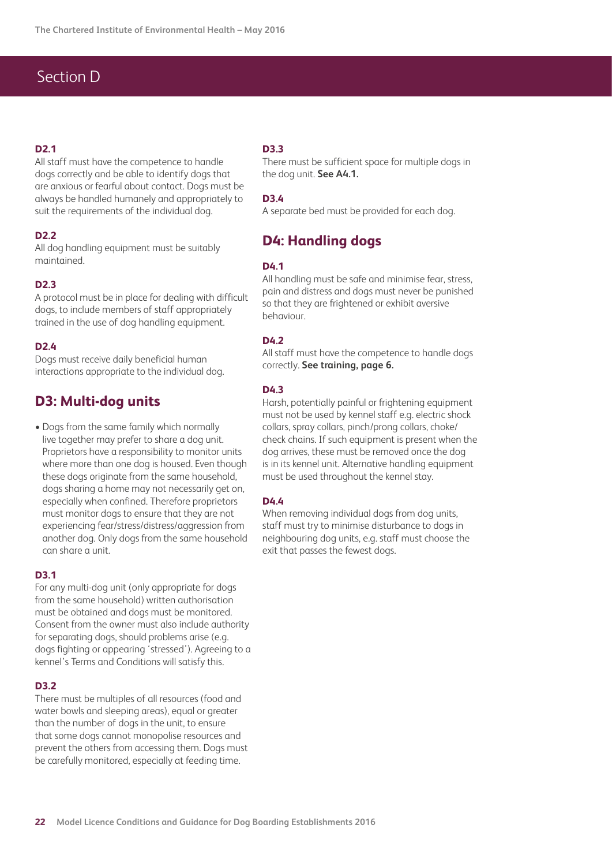# Section D

#### **D2.1**

All staff must have the competence to handle dogs correctly and be able to identify dogs that are anxious or fearful about contact. Dogs must be always be handled humanely and appropriately to suit the requirements of the individual dog.

#### **D2.2**

All dog handling equipment must be suitably maintained.

#### **D2.3**

A protocol must be in place for dealing with difficult dogs, to include members of staff appropriately trained in the use of dog handling equipment.

#### **D2.4**

Dogs must receive daily beneficial human interactions appropriate to the individual dog.

### **D3: Multi-dog units**

• Dogs from the same family which normally live together may prefer to share a dog unit. Proprietors have a responsibility to monitor units where more than one dog is housed. Even though these dogs originate from the same household, dogs sharing a home may not necessarily get on, especially when confined. Therefore proprietors must monitor dogs to ensure that they are not experiencing fear/stress/distress/aggression from another dog. Only dogs from the same household can share a unit.

#### **D3.1**

For any multi-dog unit (only appropriate for dogs from the same household) written authorisation must be obtained and dogs must be monitored. Consent from the owner must also include authority for separating dogs, should problems arise (e.g. dogs fighting or appearing 'stressed'). Agreeing to a kennel's Terms and Conditions will satisfy this.

#### **D3.2**

There must be multiples of all resources (food and water bowls and sleeping areas), equal or greater than the number of dogs in the unit, to ensure that some dogs cannot monopolise resources and prevent the others from accessing them. Dogs must be carefully monitored, especially at feeding time.

#### **D3.3**

There must be sufficient space for multiple dogs in the dog unit. **See A4.1.**

#### **D3.4**

A separate bed must be provided for each dog.

### **D4: Handling dogs**

#### **D4.1**

All handling must be safe and minimise fear, stress, pain and distress and dogs must never be punished so that they are frightened or exhibit aversive behaviour.

#### **D4.2**

All staff must have the competence to handle dogs correctly. **See training, page 6.**

#### **D4.3**

Harsh, potentially painful or frightening equipment must not be used by kennel staff e.g. electric shock collars, spray collars, pinch/prong collars, choke/ check chains. If such equipment is present when the dog arrives, these must be removed once the dog is in its kennel unit. Alternative handling equipment must be used throughout the kennel stay.

#### **D4.4**

When removing individual dogs from dog units, staff must try to minimise disturbance to dogs in neighbouring dog units, e.g. staff must choose the exit that passes the fewest dogs.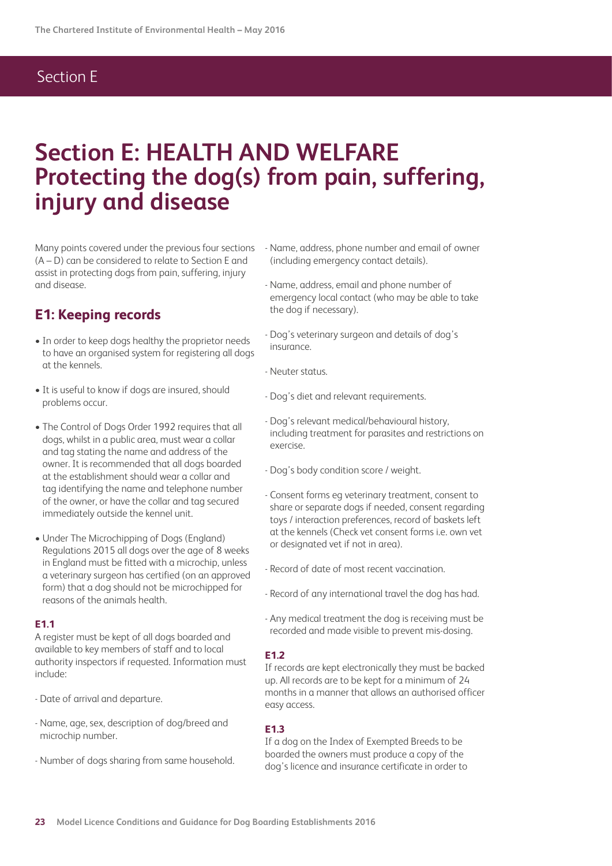# **Section E: HEALTH AND WELFARE Protecting the dog(s) from pain, suffering, injury and disease**

Many points covered under the previous four sections (A – D) can be considered to relate to Section E and assist in protecting dogs from pain, suffering, injury and disease.

### **E1: Keeping records**

- In order to keep dogs healthy the proprietor needs to have an organised system for registering all dogs at the kennels.
- It is useful to know if dogs are insured, should problems occur.
- The Control of Dogs Order 1992 requires that all dogs, whilst in a public area, must wear a collar and tag stating the name and address of the owner. It is recommended that all dogs boarded at the establishment should wear a collar and tag identifying the name and telephone number of the owner, or have the collar and tag secured immediately outside the kennel unit.
- Under The Microchipping of Dogs (England) Regulations 2015 all dogs over the age of 8 weeks in England must be fitted with a microchip, unless a veterinary surgeon has certified (on an approved form) that a dog should not be microchipped for reasons of the animals health.

#### **E1.1**

A register must be kept of all dogs boarded and available to key members of staff and to local authority inspectors if requested. Information must include:

- Date of arrival and departure.
- Name, age, sex, description of dog/breed and microchip number.
- Number of dogs sharing from same household.
- Name, address, phone number and email of owner (including emergency contact details).
- Name, address, email and phone number of emergency local contact (who may be able to take the dog if necessary).
- Dog's veterinary surgeon and details of dog's insurance.
- Neuter status.
- Dog's diet and relevant requirements.
- Dog's relevant medical/behavioural history, including treatment for parasites and restrictions on exercise.
- Dog's body condition score / weight.
- Consent forms eg veterinary treatment, consent to share or separate dogs if needed, consent regarding toys / interaction preferences, record of baskets left at the kennels (Check vet consent forms i.e. own vet or designated vet if not in area).
- Record of date of most recent vaccination.
- Record of any international travel the dog has had.
- Any medical treatment the dog is receiving must be recorded and made visible to prevent mis-dosing.

#### **E1.2**

If records are kept electronically they must be backed up. All records are to be kept for a minimum of 24 months in a manner that allows an authorised officer easy access.

#### **E1.3**

If a dog on the Index of Exempted Breeds to be boarded the owners must produce a copy of the dog's licence and insurance certificate in order to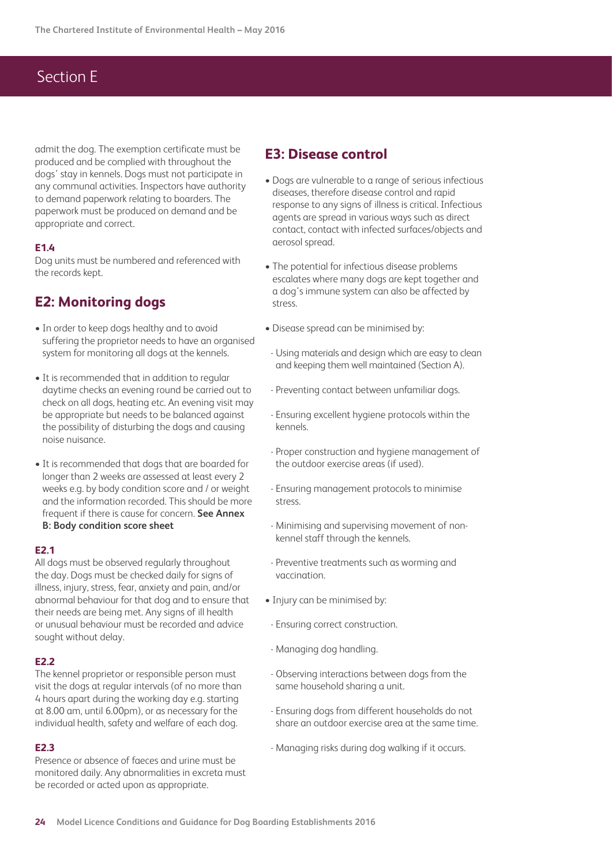admit the dog. The exemption certificate must be produced and be complied with throughout the dogs' stay in kennels. Dogs must not participate in any communal activities. Inspectors have authority to demand paperwork relating to boarders. The paperwork must be produced on demand and be appropriate and correct.

#### **E1.4**

Dog units must be numbered and referenced with the records kept.

### **E2: Monitoring dogs**

- In order to keep dogs healthy and to avoid suffering the proprietor needs to have an organised system for monitoring all dogs at the kennels.
- It is recommended that in addition to regular daytime checks an evening round be carried out to check on all dogs, heating etc. An evening visit may be appropriate but needs to be balanced against the possibility of disturbing the dogs and causing noise nuisance.
- It is recommended that dogs that are boarded for longer than 2 weeks are assessed at least every 2 weeks e.g. by body condition score and / or weight and the information recorded. This should be more frequent if there is cause for concern. **See Annex B: Body condition score sheet**

#### **E2.1**

All dogs must be observed regularly throughout the day. Dogs must be checked daily for signs of illness, injury, stress, fear, anxiety and pain, and/or abnormal behaviour for that dog and to ensure that their needs are being met. Any signs of ill health or unusual behaviour must be recorded and advice sought without delay.

#### **E2.2**

The kennel proprietor or responsible person must visit the dogs at regular intervals (of no more than 4 hours apart during the working day e.g. starting at 8.00 am, until 6.00pm), or as necessary for the individual health, safety and welfare of each dog.

#### **E2.3**

Presence or absence of faeces and urine must be monitored daily. Any abnormalities in excreta must be recorded or acted upon as appropriate.

### **E3: Disease control**

- Dogs are vulnerable to a range of serious infectious diseases, therefore disease control and rapid response to any signs of illness is critical. Infectious agents are spread in various ways such as direct contact, contact with infected surfaces/objects and aerosol spread.
- The potential for infectious disease problems escalates where many dogs are kept together and a dog's immune system can also be affected by stress.
- Disease spread can be minimised by:
- Using materials and design which are easy to clean and keeping them well maintained (Section A).
- Preventing contact between unfamiliar dogs.
- Ensuring excellent hygiene protocols within the kennels.
- Proper construction and hygiene management of the outdoor exercise areas (if used).
- Ensuring management protocols to minimise stress.
- Minimising and supervising movement of nonkennel staff through the kennels.
- Preventive treatments such as worming and vaccination.
- Injury can be minimised by:
- Ensuring correct construction.
- Managing dog handling.
- Observing interactions between dogs from the same household sharing a unit.
- Ensuring dogs from different households do not share an outdoor exercise area at the same time.
- Managing risks during dog walking if it occurs.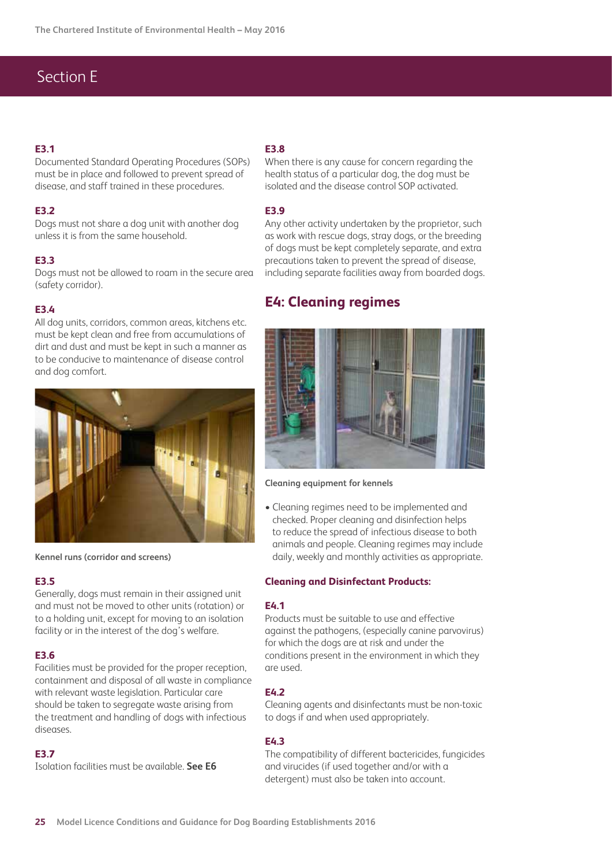#### **E3.1**

Documented Standard Operating Procedures (SOPs) must be in place and followed to prevent spread of disease, and staff trained in these procedures.

#### **E3.2**

Dogs must not share a dog unit with another dog unless it is from the same household.

#### **E3.3**

Dogs must not be allowed to roam in the secure area (safety corridor).

#### **E3.4**

All dog units, corridors, common areas, kitchens etc. must be kept clean and free from accumulations of dirt and dust and must be kept in such a manner as to be conducive to maintenance of disease control and dog comfort.



**Kennel runs (corridor and screens)**

#### **E3.5**

Generally, dogs must remain in their assigned unit and must not be moved to other units (rotation) or to a holding unit, except for moving to an isolation facility or in the interest of the dog's welfare.

#### **E3.6**

Facilities must be provided for the proper reception, containment and disposal of all waste in compliance with relevant waste legislation. Particular care should be taken to segregate waste arising from the treatment and handling of dogs with infectious diseases.

#### **E3.7**

Isolation facilities must be available. **See E6**

#### **E3.8**

When there is any cause for concern regarding the health status of a particular dog, the dog must be isolated and the disease control SOP activated.

#### **E3.9**

Any other activity undertaken by the proprietor, such as work with rescue dogs, stray dogs, or the breeding of dogs must be kept completely separate, and extra precautions taken to prevent the spread of disease, including separate facilities away from boarded dogs.

#### **E4: Cleaning regimes**



#### **Cleaning equipment for kennels**

• Cleaning regimes need to be implemented and checked. Proper cleaning and disinfection helps to reduce the spread of infectious disease to both animals and people. Cleaning regimes may include daily, weekly and monthly activities as appropriate.

#### **Cleaning and Disinfectant Products:**

#### **E4.1**

Products must be suitable to use and effective against the pathogens, (especially canine parvovirus) for which the dogs are at risk and under the conditions present in the environment in which they are used.

#### **E4.2**

Cleaning agents and disinfectants must be non-toxic to dogs if and when used appropriately.

#### **E4.3**

The compatibility of different bactericides, fungicides and virucides (if used together and/or with a detergent) must also be taken into account.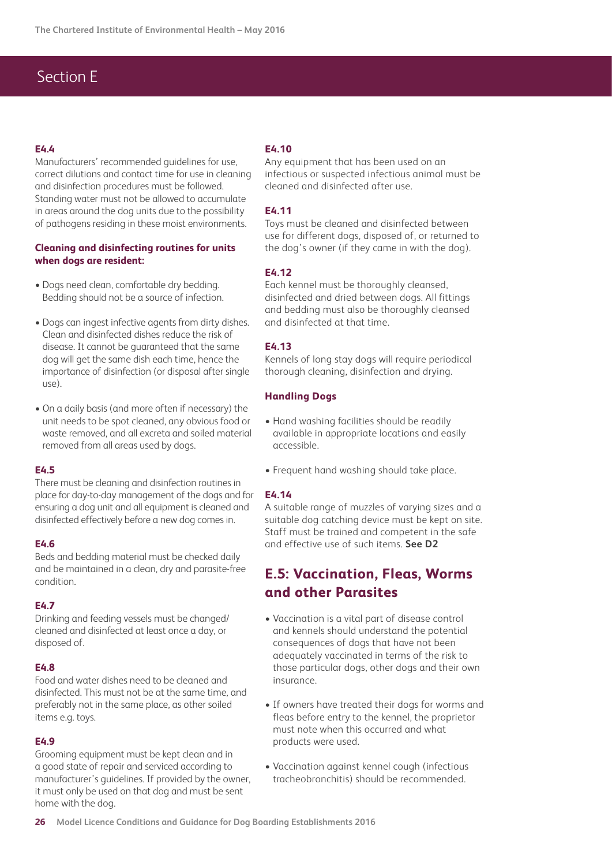#### **E4.4**

Manufacturers' recommended guidelines for use, correct dilutions and contact time for use in cleaning and disinfection procedures must be followed. Standing water must not be allowed to accumulate in areas around the dog units due to the possibility of pathogens residing in these moist environments.

#### **Cleaning and disinfecting routines for units when dogs are resident:**

- Dogs need clean, comfortable dry bedding. Bedding should not be a source of infection.
- Dogs can ingest infective agents from dirty dishes. Clean and disinfected dishes reduce the risk of disease. It cannot be guaranteed that the same dog will get the same dish each time, hence the importance of disinfection (or disposal after single use).
- On a daily basis (and more often if necessary) the unit needs to be spot cleaned, any obvious food or waste removed, and all excreta and soiled material removed from all areas used by dogs.

#### **E4.5**

There must be cleaning and disinfection routines in place for day-to-day management of the dogs and for ensuring a dog unit and all equipment is cleaned and disinfected effectively before a new dog comes in.

#### **E4.6**

Beds and bedding material must be checked daily and be maintained in a clean, dry and parasite-free condition.

#### **E4.7**

Drinking and feeding vessels must be changed/ cleaned and disinfected at least once a day, or disposed of.

#### **E4.8**

Food and water dishes need to be cleaned and disinfected. This must not be at the same time, and preferably not in the same place, as other soiled items e.g. toys.

#### **E4.9**

Grooming equipment must be kept clean and in a good state of repair and serviced according to manufacturer's guidelines. If provided by the owner, it must only be used on that dog and must be sent home with the dog.

#### **E4.10**

Any equipment that has been used on an infectious or suspected infectious animal must be cleaned and disinfected after use.

#### **E4.11**

Toys must be cleaned and disinfected between use for different dogs, disposed of, or returned to the dog's owner (if they came in with the dog).

#### **E4.12**

Each kennel must be thoroughly cleansed, disinfected and dried between dogs. All fittings and bedding must also be thoroughly cleansed and disinfected at that time.

#### **E4.13**

Kennels of long stay dogs will require periodical thorough cleaning, disinfection and drying.

#### **Handling Dogs**

- Hand washing facilities should be readily available in appropriate locations and easily accessible.
- Frequent hand washing should take place.

#### **E4.14**

A suitable range of muzzles of varying sizes and a suitable dog catching device must be kept on site. Staff must be trained and competent in the safe and effective use of such items. **See D2**

### **E.5: Vaccination, Fleas, Worms and other Parasites**

- Vaccination is a vital part of disease control and kennels should understand the potential consequences of dogs that have not been adequately vaccinated in terms of the risk to those particular dogs, other dogs and their own insurance.
- If owners have treated their dogs for worms and fleas before entry to the kennel, the proprietor must note when this occurred and what products were used.
- Vaccination against kennel cough (infectious tracheobronchitis) should be recommended.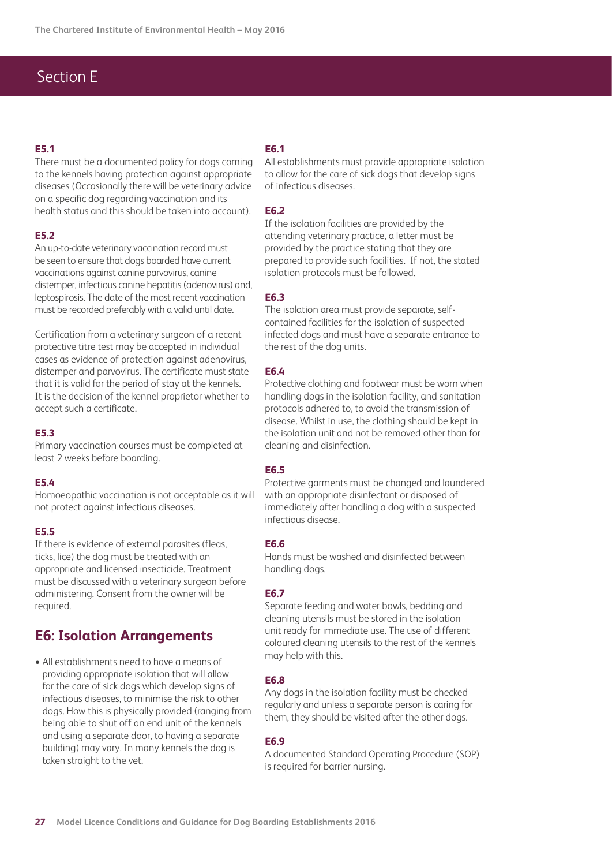#### **E5.1**

There must be a documented policy for dogs coming to the kennels having protection against appropriate diseases (Occasionally there will be veterinary advice on a specific dog regarding vaccination and its health status and this should be taken into account).

#### **E5.2**

An up-to-date veterinary vaccination record must be seen to ensure that dogs boarded have current vaccinations against canine parvovirus, canine distemper, infectious canine hepatitis (adenovirus) and, leptospirosis. The date of the most recent vaccination must be recorded preferably with a valid until date.

Certification from a veterinary surgeon of a recent protective titre test may be accepted in individual cases as evidence of protection against adenovirus, distemper and parvovirus. The certificate must state that it is valid for the period of stay at the kennels. It is the decision of the kennel proprietor whether to accept such a certificate.

#### **E5.3**

Primary vaccination courses must be completed at least 2 weeks before boarding.

#### **E5.4**

Homoeopathic vaccination is not acceptable as it will not protect against infectious diseases.

#### **E5.5**

If there is evidence of external parasites (fleas, ticks, lice) the dog must be treated with an appropriate and licensed insecticide. Treatment must be discussed with a veterinary surgeon before administering. Consent from the owner will be required.

### **E6: Isolation Arrangements**

• All establishments need to have a means of providing appropriate isolation that will allow for the care of sick dogs which develop signs of infectious diseases, to minimise the risk to other dogs. How this is physically provided (ranging from being able to shut off an end unit of the kennels and using a separate door, to having a separate building) may vary. In many kennels the dog is taken straight to the vet.

#### **E6.1**

All establishments must provide appropriate isolation to allow for the care of sick dogs that develop signs of infectious diseases.

#### **E6.2**

If the isolation facilities are provided by the attending veterinary practice, a letter must be provided by the practice stating that they are prepared to provide such facilities. If not, the stated isolation protocols must be followed.

#### **E6.3**

The isolation area must provide separate, selfcontained facilities for the isolation of suspected infected dogs and must have a separate entrance to the rest of the dog units.

#### **E6.4**

Protective clothing and footwear must be worn when handling dogs in the isolation facility, and sanitation protocols adhered to, to avoid the transmission of disease. Whilst in use, the clothing should be kept in the isolation unit and not be removed other than for cleaning and disinfection.

#### **E6.5**

Protective garments must be changed and laundered with an appropriate disinfectant or disposed of immediately after handling a dog with a suspected infectious disease.

#### **E6.6**

Hands must be washed and disinfected between handling dogs.

#### **E6.7**

Separate feeding and water bowls, bedding and cleaning utensils must be stored in the isolation unit ready for immediate use. The use of different coloured cleaning utensils to the rest of the kennels may help with this.

#### **E6.8**

Any dogs in the isolation facility must be checked regularly and unless a separate person is caring for them, they should be visited after the other dogs.

#### **E6.9**

A documented Standard Operating Procedure (SOP) is required for barrier nursing.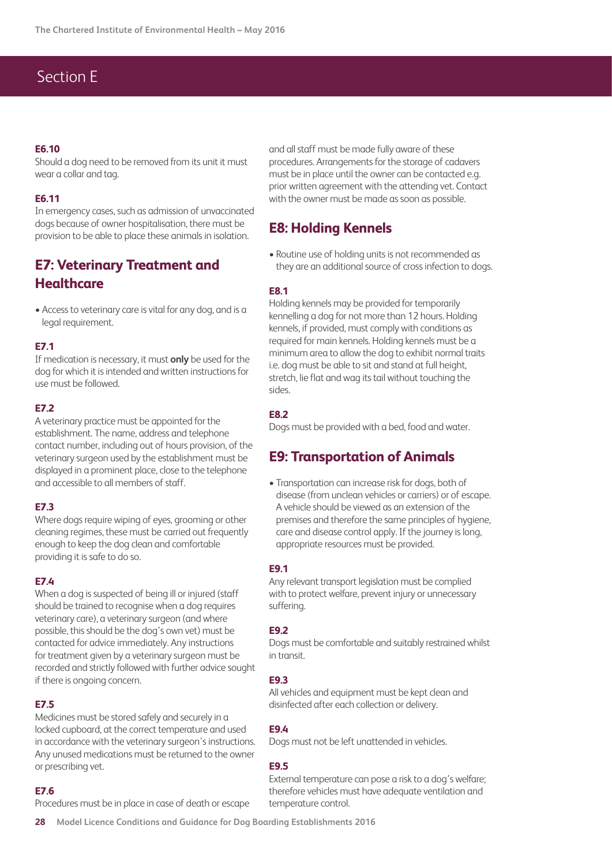#### **E6.10**

Should a dog need to be removed from its unit it must wear a collar and tag.

#### **E6.11**

In emergency cases, such as admission of unvaccinated dogs because of owner hospitalisation, there must be provision to be able to place these animals in isolation.

### **E7: Veterinary Treatment and Healthcare**

• Access to veterinary care is vital for any dog, and is a legal requirement.

#### **E7.1**

If medication is necessary, it must **only** be used for the dog for which it is intended and written instructions for use must be followed.

#### **E7.2**

A veterinary practice must be appointed for the establishment. The name, address and telephone contact number, including out of hours provision, of the veterinary surgeon used by the establishment must be displayed in a prominent place, close to the telephone and accessible to all members of staff.

#### **E7.3**

Where dogs require wiping of eyes, grooming or other cleaning regimes, these must be carried out frequently enough to keep the dog clean and comfortable providing it is safe to do so.

#### **E7.4**

When a dog is suspected of being ill or injured (staff should be trained to recognise when a dog requires veterinary care), a veterinary surgeon (and where possible, this should be the dog's own vet) must be contacted for advice immediately. Any instructions for treatment given by a veterinary surgeon must be recorded and strictly followed with further advice sought if there is ongoing concern.

#### **E7.5**

Medicines must be stored safely and securely in a locked cupboard, at the correct temperature and used in accordance with the veterinary surgeon's instructions. Any unused medications must be returned to the owner or prescribing vet.

#### **E7.6**

Procedures must be in place in case of death or escape

and all staff must be made fully aware of these procedures. Arrangements for the storage of cadavers must be in place until the owner can be contacted e.g. prior written agreement with the attending vet. Contact with the owner must be made as soon as possible.

### **E8: Holding Kennels**

• Routine use of holding units is not recommended as they are an additional source of cross infection to dogs.

#### **E8.1**

Holding kennels may be provided for temporarily kennelling a dog for not more than 12 hours. Holding kennels, if provided, must comply with conditions as required for main kennels. Holding kennels must be a minimum area to allow the dog to exhibit normal traits i.e. dog must be able to sit and stand at full height, stretch, lie flat and wag its tail without touching the sides.

#### **E8.2**

Dogs must be provided with a bed, food and water.

### **E9: Transportation of Animals**

• Transportation can increase risk for dogs, both of disease (from unclean vehicles or carriers) or of escape. A vehicle should be viewed as an extension of the premises and therefore the same principles of hygiene, care and disease control apply. If the journey is long, appropriate resources must be provided.

#### **E9.1**

Any relevant transport legislation must be complied with to protect welfare, prevent injury or unnecessary suffering.

#### **E9.2**

Dogs must be comfortable and suitably restrained whilst in transit.

#### **E9.3**

All vehicles and equipment must be kept clean and disinfected after each collection or delivery.

#### **E9.4**

Dogs must not be left unattended in vehicles.

#### **E9.5**

External temperature can pose a risk to a dog's welfare; therefore vehicles must have adequate ventilation and temperature control.

**28 Model Licence Conditions and Guidance for Dog Boarding Establishments 2016**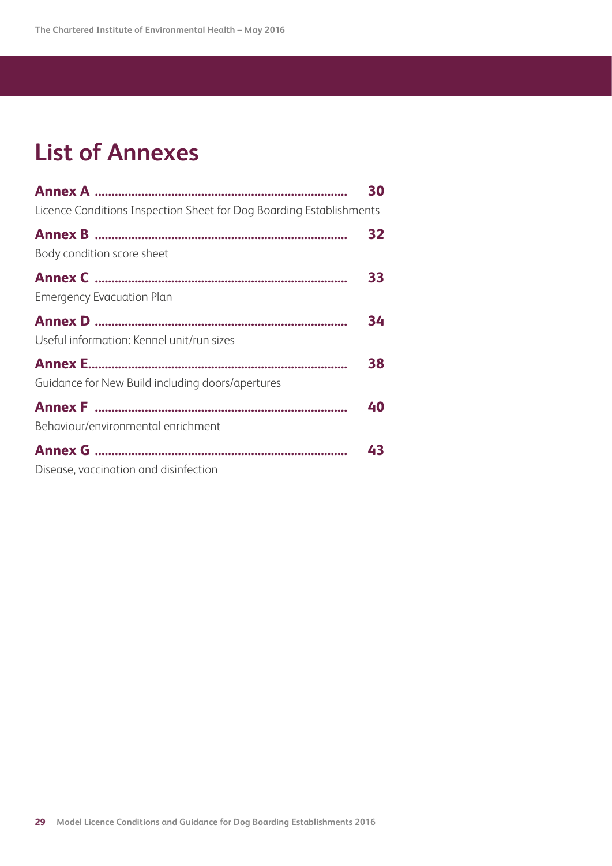# **List of Annexes**

|                                                                     | 30 |
|---------------------------------------------------------------------|----|
| Licence Conditions Inspection Sheet for Dog Boarding Establishments |    |
|                                                                     | 32 |
| Body condition score sheet                                          |    |
|                                                                     | 33 |
| <b>Emergency Evacuation Plan</b>                                    |    |
|                                                                     | 34 |
| Useful information: Kennel unit/run sizes                           |    |
|                                                                     | 38 |
| Guidance for New Build including doors/apertures                    |    |
|                                                                     | 40 |
| Behaviour/environmental enrichment                                  |    |
|                                                                     | 43 |
| Disease, vaccination and disinfection                               |    |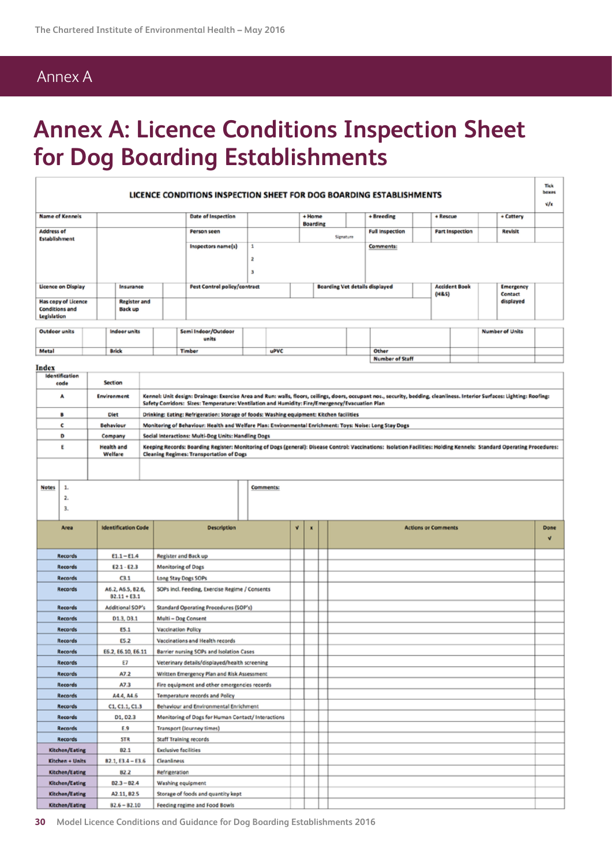# Annex A

# **Annex A: Licence Conditions Inspection Sheet for Dog Boarding Establishments**

| LICENCE CONDITIONS INSPECTION SHEET FOR DOG BOARDING ESTABLISHMENTS |                            |                                                 |                                       |  |               |                                                                                                                                                                                                                           | Tick<br>boxes |                  |                                       |                           |           |            |                        |                            |                  |                        |                        |      |
|---------------------------------------------------------------------|----------------------------|-------------------------------------------------|---------------------------------------|--|---------------|---------------------------------------------------------------------------------------------------------------------------------------------------------------------------------------------------------------------------|---------------|------------------|---------------------------------------|---------------------------|-----------|------------|------------------------|----------------------------|------------------|------------------------|------------------------|------|
|                                                                     |                            |                                                 |                                       |  |               |                                                                                                                                                                                                                           |               |                  |                                       |                           |           |            |                        |                            |                  |                        |                        | v/x  |
|                                                                     | <b>Name of Kennels</b>     |                                                 |                                       |  |               | <b>Date of Inspection</b>                                                                                                                                                                                                 |               |                  |                                       | + Home<br><b>Boarding</b> |           | + Breeding |                        |                            | + Rescue         |                        | + Cattery              |      |
| <b>Address of</b>                                                   |                            |                                                 |                                       |  |               | Person seen                                                                                                                                                                                                               |               |                  |                                       |                           | Signature |            | <b>Full Inspection</b> |                            |                  | <b>Part Inspection</b> | Revisit                |      |
| Establishment                                                       |                            |                                                 |                                       |  |               | Inspectors name(s)                                                                                                                                                                                                        | 1             |                  |                                       |                           |           | Comments:  |                        |                            |                  |                        |                        |      |
|                                                                     |                            |                                                 |                                       |  |               | 2                                                                                                                                                                                                                         |               |                  |                                       |                           |           |            |                        |                            |                  |                        |                        |      |
|                                                                     |                            |                                                 |                                       |  |               |                                                                                                                                                                                                                           | з             |                  |                                       |                           |           |            |                        |                            |                  |                        |                        |      |
|                                                                     | <b>Licence on Display</b>  |                                                 | Insurance                             |  |               | <b>Pest Control policy/contract</b>                                                                                                                                                                                       |               |                  | <b>Boarding Vet details displayed</b> |                           |           |            |                        | <b>Accident Book</b>       | <b>Emergency</b> |                        |                        |      |
|                                                                     |                            |                                                 |                                       |  |               |                                                                                                                                                                                                                           |               |                  |                                       |                           |           |            |                        |                            | (H&S)            |                        | <b>Contact</b>         |      |
| <b>Conditions and</b>                                               | <b>Has copy of Licence</b> |                                                 | <b>Register and</b><br><b>Back up</b> |  |               |                                                                                                                                                                                                                           |               |                  |                                       |                           |           |            |                        |                            |                  |                        | displayed              |      |
| <b>Legislation</b>                                                  |                            |                                                 |                                       |  |               |                                                                                                                                                                                                                           |               |                  |                                       |                           |           |            |                        |                            |                  |                        |                        |      |
| Outdoor units                                                       |                            |                                                 | Indoor units                          |  |               | Semi Indoor/Outdoor                                                                                                                                                                                                       |               |                  |                                       |                           |           |            |                        |                            |                  |                        | <b>Number of Units</b> |      |
|                                                                     |                            |                                                 |                                       |  |               | units                                                                                                                                                                                                                     |               |                  |                                       |                           |           |            |                        |                            |                  |                        |                        |      |
| Metal                                                               |                            |                                                 | <b>Brick</b>                          |  |               | Timber                                                                                                                                                                                                                    |               | uPVC             |                                       |                           |           | Other      | <b>Number of Staff</b> |                            |                  |                        |                        |      |
| Index                                                               |                            |                                                 |                                       |  |               |                                                                                                                                                                                                                           |               |                  |                                       |                           |           |            |                        |                            |                  |                        |                        |      |
|                                                                     | Identification<br>code     | Section                                         |                                       |  |               |                                                                                                                                                                                                                           |               |                  |                                       |                           |           |            |                        |                            |                  |                        |                        |      |
|                                                                     | ٨                          | <b>Environment</b>                              |                                       |  |               | Kennel: Unit design: Drainage: Exercise Area and Run: walls, floors, ceilings, doors, occupant nos., security, bedding, cleanliness. Interior Surfaces: Lighting: Roofing:                                                |               |                  |                                       |                           |           |            |                        |                            |                  |                        |                        |      |
|                                                                     |                            |                                                 |                                       |  |               | Safety Corridors: Sizes: Temperature: Ventilation and Humidity: Fire/Emergency/Evacuation Plan                                                                                                                            |               |                  |                                       |                           |           |            |                        |                            |                  |                        |                        |      |
|                                                                     | в                          | <b>Diet</b>                                     |                                       |  |               | Drinking: Eating: Refrigeration: Storage of foods: Washing equipment: Kitchen facilities                                                                                                                                  |               |                  |                                       |                           |           |            |                        |                            |                  |                        |                        |      |
|                                                                     | c                          | Behaviour                                       |                                       |  |               | Monitoring of Behaviour: Health and Welfare Plan: Environmental Enrichment: Toys: Noise: Long Stay Dogs                                                                                                                   |               |                  |                                       |                           |           |            |                        |                            |                  |                        |                        |      |
|                                                                     | D                          | Company                                         |                                       |  |               | Social Interactions: Multi-Dog Units: Handling Dogs                                                                                                                                                                       |               |                  |                                       |                           |           |            |                        |                            |                  |                        |                        |      |
|                                                                     | ε                          | <b>Health and</b><br>Welfare                    |                                       |  |               | Keeping Records: Boarding Register: Monitoring of Dogs (general): Disease Control: Vaccinations: Isolation Facilities: Holding Kennels: Standard Operating Procedures:<br><b>Cleaning Regimes: Transportation of Dogs</b> |               |                  |                                       |                           |           |            |                        |                            |                  |                        |                        |      |
|                                                                     |                            |                                                 |                                       |  |               |                                                                                                                                                                                                                           |               |                  |                                       |                           |           |            |                        |                            |                  |                        |                        |      |
|                                                                     |                            |                                                 |                                       |  |               |                                                                                                                                                                                                                           |               |                  |                                       |                           |           |            |                        |                            |                  |                        |                        |      |
| <b>Notes</b>                                                        | 1.                         |                                                 |                                       |  |               |                                                                                                                                                                                                                           |               | <b>Comments:</b> |                                       |                           |           |            |                        |                            |                  |                        |                        |      |
|                                                                     | 2.                         |                                                 |                                       |  |               |                                                                                                                                                                                                                           |               |                  |                                       |                           |           |            |                        |                            |                  |                        |                        |      |
|                                                                     | з.                         |                                                 |                                       |  |               |                                                                                                                                                                                                                           |               |                  |                                       |                           |           |            |                        |                            |                  |                        |                        |      |
|                                                                     | Area                       |                                                 | <b>Identification Code</b>            |  |               | Description                                                                                                                                                                                                               |               |                  | v                                     |                           |           |            |                        | <b>Actions or Comments</b> |                  |                        |                        | Done |
|                                                                     |                            |                                                 |                                       |  |               |                                                                                                                                                                                                                           |               |                  |                                       |                           |           |            |                        |                            |                  |                        |                        | v    |
|                                                                     | Records                    |                                                 | $E1.1 - E1.4$                         |  |               | Register and Back up                                                                                                                                                                                                      |               |                  |                                       |                           |           |            |                        |                            |                  |                        |                        |      |
|                                                                     | Records                    |                                                 | $E2.1 - E2.3$                         |  |               | <b>Monitoring of Dogs</b>                                                                                                                                                                                                 |               |                  |                                       |                           |           |            |                        |                            |                  |                        |                        |      |
|                                                                     | Records                    |                                                 | C3.1                                  |  |               | Long Stay Dogs SOPs                                                                                                                                                                                                       |               |                  |                                       |                           |           |            |                        |                            |                  |                        |                        |      |
|                                                                     | Records                    |                                                 | A6.2, A5.5, B2.6,                     |  |               | SOPs incl. Feeding, Exercise Regime / Consents                                                                                                                                                                            |               |                  |                                       |                           |           |            |                        |                            |                  |                        |                        |      |
|                                                                     | Records                    |                                                 | $B2.11 + E3.1$<br>Additional SOP's    |  |               | Standard Operating Procedures (SOP's)                                                                                                                                                                                     |               |                  |                                       |                           |           |            |                        |                            |                  |                        |                        |      |
|                                                                     | Records                    |                                                 | D1.3, D3.1                            |  |               | Multi - Dog Consent                                                                                                                                                                                                       |               |                  |                                       |                           |           |            |                        |                            |                  |                        |                        |      |
|                                                                     | Records                    |                                                 | <b>ES.1</b>                           |  |               | <b>Vaccination Policy</b>                                                                                                                                                                                                 |               |                  |                                       |                           |           |            |                        |                            |                  |                        |                        |      |
|                                                                     | <b>Records</b>             |                                                 | E5.2                                  |  |               | Vaccinations and Health records                                                                                                                                                                                           |               |                  |                                       |                           |           |            |                        |                            |                  |                        |                        |      |
|                                                                     | Records                    |                                                 | E6.2, E6.10, E6.11                    |  |               | Barrier nursing SOPs and Isolation Cases                                                                                                                                                                                  |               |                  |                                       |                           |           |            |                        |                            |                  |                        |                        |      |
|                                                                     | Records                    |                                                 | E7                                    |  |               | Veterinary details/displayed/health screening                                                                                                                                                                             |               |                  |                                       |                           |           |            |                        |                            |                  |                        |                        |      |
|                                                                     | Records                    |                                                 | A7.2                                  |  |               | Written Emergency Plan and Risk Assessment                                                                                                                                                                                |               |                  |                                       |                           |           |            |                        |                            |                  |                        |                        |      |
|                                                                     | Records                    |                                                 | A7.3                                  |  |               | Fire equipment and other emergencies records                                                                                                                                                                              |               |                  |                                       |                           |           |            |                        |                            |                  |                        |                        |      |
|                                                                     | <b>Records</b>             |                                                 | A4.4, A4.6                            |  |               | Temperature records and Policy                                                                                                                                                                                            |               |                  |                                       |                           |           |            |                        |                            |                  |                        |                        |      |
|                                                                     | Records<br>Records         |                                                 | C1, C1.1, C1.3<br>D1, D2.3            |  |               | Behaviour and Environmental Enrichment<br>Monitoring of Dogs for Human Contact/ Interactions                                                                                                                              |               |                  |                                       |                           |           |            |                        |                            |                  |                        |                        |      |
|                                                                     | <b>Records</b>             |                                                 | E.9                                   |  |               | <b>Transport (Journey times)</b>                                                                                                                                                                                          |               |                  |                                       |                           |           |            |                        |                            |                  |                        |                        |      |
|                                                                     | Records                    |                                                 | <b>STR</b>                            |  |               | <b>Staff Training records</b>                                                                                                                                                                                             |               |                  |                                       |                           |           |            |                        |                            |                  |                        |                        |      |
|                                                                     | Kitchen/Eating             |                                                 | 82.1                                  |  |               | <b>Exclusive facilities</b>                                                                                                                                                                                               |               |                  |                                       |                           |           |            |                        |                            |                  |                        |                        |      |
|                                                                     | Kitchen + Units            |                                                 | $B2.1, E3.4 - E3.6$                   |  | Cleanliness   |                                                                                                                                                                                                                           |               |                  |                                       |                           |           |            |                        |                            |                  |                        |                        |      |
|                                                                     | Kitchen/Eating             |                                                 | 82.2                                  |  | Refrigeration |                                                                                                                                                                                                                           |               |                  |                                       |                           |           |            |                        |                            |                  |                        |                        |      |
|                                                                     | Kitchen/Eating             |                                                 | $B2.3 - B2.4$                         |  |               | Washing equipment                                                                                                                                                                                                         |               |                  |                                       |                           |           |            |                        |                            |                  |                        |                        |      |
|                                                                     | Kitchen/Eating             |                                                 | A2.11, B2.5                           |  |               | Storage of foods and quantity kept                                                                                                                                                                                        |               |                  |                                       |                           |           |            |                        |                            |                  |                        |                        |      |
|                                                                     | Kitchen/Eating             | $B2.6 - B2.10$<br>Feeding regime and Food Bowls |                                       |  |               |                                                                                                                                                                                                                           |               |                  |                                       |                           |           |            |                        |                            |                  |                        |                        |      |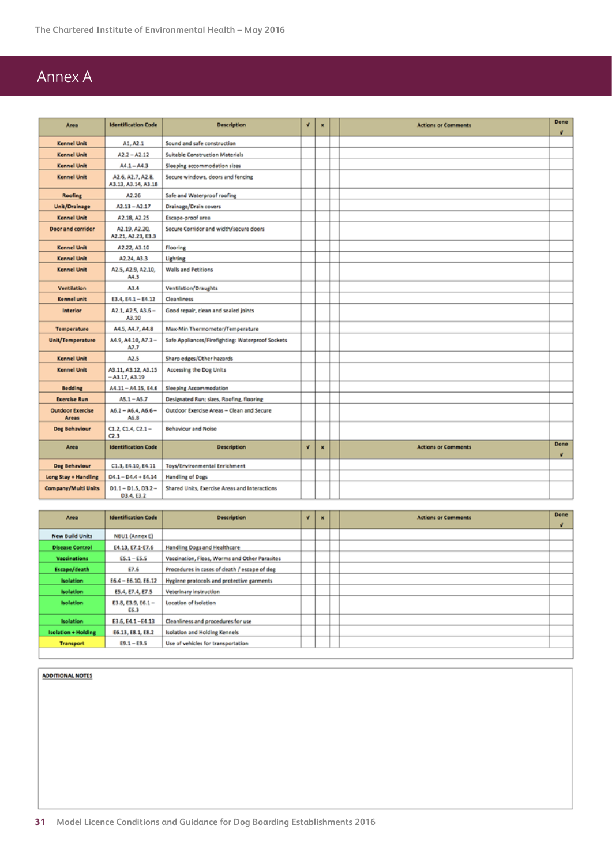# Annex A

| Area                             | <b>Identification Code</b>               | <b>Description</b>                               | $\sqrt{ }$<br>× |   | <b>Actions or Comments</b> | Done<br>v |
|----------------------------------|------------------------------------------|--------------------------------------------------|-----------------|---|----------------------------|-----------|
| <b>Kennel Unit</b>               | A1, A2.1                                 | Sound and safe construction                      |                 |   |                            |           |
| <b>Kennel Unit</b>               | $A2.2 - A2.12$                           | <b>Suitable Construction Materials</b>           |                 |   |                            |           |
| <b>Kennel Unit</b>               | $A4.1 - A4.3$                            | Sleeping accommodation sizes                     |                 |   |                            |           |
| <b>Kennel Unit</b>               | A2.6, A2.7, A2.8.<br>A3.13, A3.14, A3.18 | Secure windows, doors and fencing                |                 |   |                            |           |
| <b>Roofing</b>                   | A2.26                                    | Safe and Waterproof roofing                      |                 |   |                            |           |
| Unit/Drainage                    | $A2.13 - A2.17$                          | Drainage/Drain covers                            |                 |   |                            |           |
| <b>Kennel Unit</b>               | A2.18, A2.25                             | Escape-proof area                                |                 |   |                            |           |
| Door and corridor                | A2.19, A2.20.<br>A2.21, A2.23, E3.3      | Secure Corridor and width/secure doors           |                 |   |                            |           |
| <b>Kennel Unit</b>               | A2.22, A3.10                             | Flooring                                         |                 |   |                            |           |
| <b>Kennel Unit</b>               | A2.24, A3.3                              | Lighting                                         |                 |   |                            |           |
| <b>Kennel Unit</b>               | A2.5, A2.9, A2.10,<br>A4.3               | <b>Walls and Petitions</b>                       |                 |   |                            |           |
| Ventilation                      | A3.4                                     | Ventilation/Draughts                             |                 |   |                            |           |
| <b>Kennel unit</b>               | $E3.4, E4.1 - E4.12$                     | Cleanliness                                      |                 |   |                            |           |
| <b>Interior</b>                  | $A2.1, A2.5, A3.6 -$<br>A3.10            | Good repair, clean and sealed joints             |                 |   |                            |           |
| <b>Temperature</b>               | A4.5, A4.7, A4.8                         | Max-Min Thermometer/Temperature                  |                 |   |                            |           |
| Unit/Temperature                 | A4.9, A4.10, A7.3-<br>A7.7               | Safe Appliances/Firefighting: Waterproof Sockets |                 |   |                            |           |
| <b>Kennel Unit</b>               | A <sub>2.5</sub>                         | Sharp edges/Other hazards                        |                 |   |                            |           |
| <b>Kennel Unit</b>               | A3.11, A3.12, A3.15<br>$- A3.17, A3.19$  | Accessing the Dog Units                          |                 |   |                            |           |
| <b>Bedding</b>                   | A4.11-A4.15, E4.6                        | Sleeping Accommodation                           |                 |   |                            |           |
| <b>Exercise Run</b>              | $A5.1 - A5.7$                            | Designated Run; sizes, Roofing, flooring         |                 |   |                            |           |
| <b>Outdoor Exercise</b><br>Areas | $A6.2 - A6.4, A6.6 -$<br>A6.8            | Outdoor Exercise Areas - Clean and Secure        |                 |   |                            |           |
| Dog Behaviour                    | $C1.2, C1.4, C2.1 -$<br>C2.3             | <b>Behaviour and Noise</b>                       |                 |   |                            |           |
| Area                             | <b>Identification Code</b>               | <b>Description</b>                               | $\mathbf{v}$    | × | <b>Actions or Comments</b> | Done<br>v |
| Dog Behaviour                    | C1.3, E4.10, E4.11                       | Toys/Environmental Enrichment                    |                 |   |                            |           |
| Long Stay + Handling             | $D4.1 - D4.4 + E4.14$                    | Handling of Dogs                                 |                 |   |                            |           |
| Company/Multi Units              | $D1.1 - D1.5, D3.2 -$<br>D3.4, E3.2      | Shared Units, Exercise Areas and Interactions    |                 |   |                            |           |

| Area                       | <b>Identification Code</b> | <b>Description</b>                            | $\mathbf{v}$ | $\overline{\mathbf{x}}$ | <b>Actions or Comments</b> | Done<br>w |
|----------------------------|----------------------------|-----------------------------------------------|--------------|-------------------------|----------------------------|-----------|
| <b>New Build Units</b>     | NBU1 (Annex E)             |                                               |              |                         |                            |           |
| <b>Disease Control</b>     | E4.13, E7.1-E7.6           | Handling Dogs and Healthcare                  |              |                         |                            |           |
| <b>Vaccinations</b>        | $ES.1 - ES.5$              | Vaccination, Fleas, Worms and Other Parasites |              |                         |                            |           |
| Escape/death               | E7.6                       | Procedures in cases of death / escape of dog  |              |                         |                            |           |
| <b>Isolation</b>           | $E6.4 - E6.10, E6.12$      | Hygiene protocols and protective garments     |              |                         |                            |           |
| <b>Isolation</b>           | E5.4, E7.4, E7.5           | Veterinary instruction                        |              |                         |                            |           |
| <b>Isolation</b>           | E3.8, E3.9, E6.1 -<br>E6.3 | Location of Isolation                         |              |                         |                            |           |
| <b>Isolation</b>           | E3.6, E4.1-E4.13           | Cleanliness and procedures for use            |              |                         |                            |           |
| <b>Isolation + Holding</b> | E6.13, E8.1, E8.2          | Isolation and Holding Kennels                 |              |                         |                            |           |
| <b>Transport</b>           | $E9.1 - E9.5$              | Use of vehicles for transportation            |              |                         |                            |           |

**ADDITIONAL NOTES**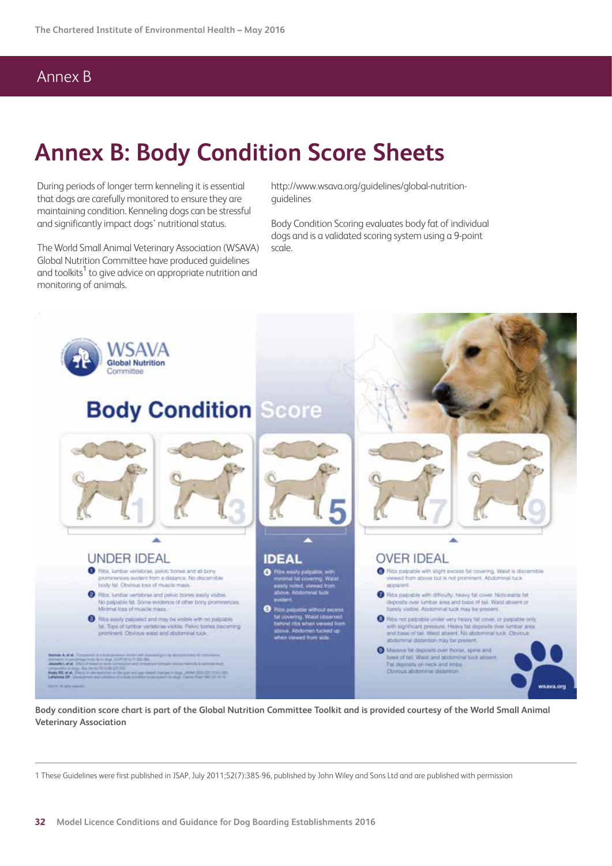# **Annex B: Body Condition Score Sheets**

During periods of longer term kenneling it is essential that dogs are carefully monitored to ensure they are maintaining condition. Kenneling dogs can be stressful and significantly impact dogs' nutritional status.

The World Small Animal Veterinary Association (WSAVA) Global Nutrition Committee have produced guidelines and toolkits $^1$  to give advice on appropriate nutrition and monitoring of animals.

http://www.wsava.org/guidelines/global-nutritionguidelines

Body Condition Scoring evaluates body fat of individual dogs and is a validated scoring system using a 9-point scale.



**Body condition score chart is part of the Global Nutrition Committee Toolkit and is provided courtesy of the World Small Animal Veterinary Association**

1 These Guidelines were first published in JSAP, July 2011;52(7):385-96, published by John Wiley and Sons Ltd and are published with permission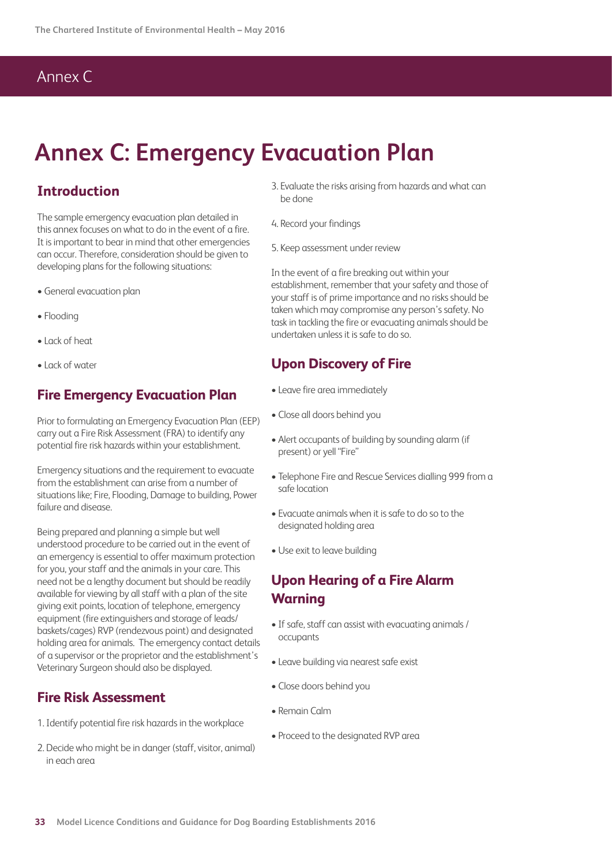# Annex C

# **Annex C: Emergency Evacuation Plan**

### **Introduction**

The sample emergency evacuation plan detailed in this annex focuses on what to do in the event of a fire. It is important to bear in mind that other emergencies can occur. Therefore, consideration should be given to developing plans for the following situations:

- General evacuation plan
- Flooding
- Lack of heat
- Lack of water

### **Fire Emergency Evacuation Plan**

Prior to formulating an Emergency Evacuation Plan (EEP) carry out a Fire Risk Assessment (FRA) to identify any potential fire risk hazards within your establishment.

Emergency situations and the requirement to evacuate from the establishment can arise from a number of situations like; Fire, Flooding, Damage to building, Power failure and disease.

Being prepared and planning a simple but well understood procedure to be carried out in the event of an emergency is essential to offer maximum protection for you, your staff and the animals in your care. This need not be a lengthy document but should be readily available for viewing by all staff with a plan of the site giving exit points, location of telephone, emergency equipment (fire extinguishers and storage of leads/ baskets/cages) RVP (rendezvous point) and designated holding area for animals. The emergency contact details of a supervisor or the proprietor and the establishment's Veterinary Surgeon should also be displayed.

### **Fire Risk Assessment**

- 1. Identify potential fire risk hazards in the workplace
- 2. Decide who might be in danger (staff, visitor, animal) in each area
- 3. Evaluate the risks arising from hazards and what can be done
- 4. Record your findings
- 5. Keep assessment under review

In the event of a fire breaking out within your establishment, remember that your safety and those of your staff is of prime importance and no risks should be taken which may compromise any person's safety. No task in tackling the fire or evacuating animals should be undertaken unless it is safe to do so.

### **Upon Discovery of Fire**

- Leave fire area immediately
- Close all doors behind you
- Alert occupants of building by sounding alarm (if present) or yell "Fire"
- Telephone Fire and Rescue Services dialling 999 from a safe location
- Evacuate animals when it is safe to do so to the designated holding area
- Use exit to leave building

### **Upon Hearing of a Fire Alarm Warning**

- If safe, staff can assist with evacuating animals / occupants
- Leave building via nearest safe exist
- Close doors behind you
- Remain Calm
- Proceed to the designated RVP area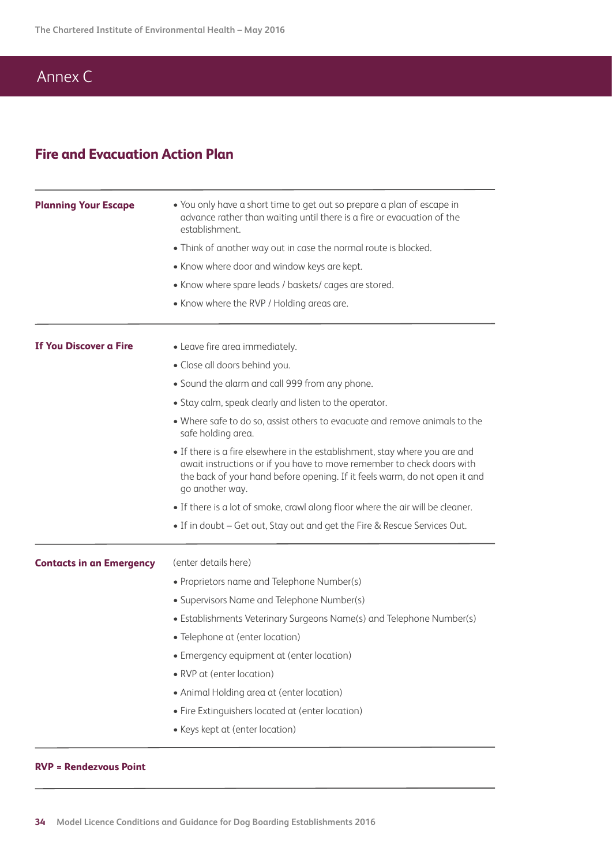# Annex C

### **Fire and Evacuation Action Plan**

| <b>Planning Your Escape</b>     | • You only have a short time to get out so prepare a plan of escape in<br>advance rather than waiting until there is a fire or evacuation of the<br>establishment.                                                                                     |  |  |  |  |  |
|---------------------------------|--------------------------------------------------------------------------------------------------------------------------------------------------------------------------------------------------------------------------------------------------------|--|--|--|--|--|
|                                 | • Think of another way out in case the normal route is blocked.                                                                                                                                                                                        |  |  |  |  |  |
|                                 | • Know where door and window keys are kept.                                                                                                                                                                                                            |  |  |  |  |  |
|                                 | • Know where spare leads / baskets/ cages are stored.                                                                                                                                                                                                  |  |  |  |  |  |
|                                 | • Know where the RVP / Holding areas are.                                                                                                                                                                                                              |  |  |  |  |  |
| <b>If You Discover a Fire</b>   | • Leave fire area immediately.                                                                                                                                                                                                                         |  |  |  |  |  |
|                                 | • Close all doors behind you.                                                                                                                                                                                                                          |  |  |  |  |  |
|                                 | • Sound the alarm and call 999 from any phone.                                                                                                                                                                                                         |  |  |  |  |  |
|                                 | • Stay calm, speak clearly and listen to the operator.                                                                                                                                                                                                 |  |  |  |  |  |
|                                 | • Where safe to do so, assist others to evacuate and remove animals to the<br>safe holding area.                                                                                                                                                       |  |  |  |  |  |
|                                 | • If there is a fire elsewhere in the establishment, stay where you are and<br>await instructions or if you have to move remember to check doors with<br>the back of your hand before opening. If it feels warm, do not open it and<br>go another way. |  |  |  |  |  |
|                                 | • If there is a lot of smoke, crawl along floor where the air will be cleaner.                                                                                                                                                                         |  |  |  |  |  |
|                                 | • If in doubt – Get out, Stay out and get the Fire & Rescue Services Out.                                                                                                                                                                              |  |  |  |  |  |
| <b>Contacts in an Emergency</b> | (enter details here)                                                                                                                                                                                                                                   |  |  |  |  |  |
|                                 | • Proprietors name and Telephone Number(s)                                                                                                                                                                                                             |  |  |  |  |  |
|                                 | • Supervisors Name and Telephone Number(s)                                                                                                                                                                                                             |  |  |  |  |  |
|                                 | • Establishments Veterinary Surgeons Name(s) and Telephone Number(s)                                                                                                                                                                                   |  |  |  |  |  |
|                                 | • Telephone at (enter location)                                                                                                                                                                                                                        |  |  |  |  |  |
|                                 | • Emergency equipment at (enter location)                                                                                                                                                                                                              |  |  |  |  |  |
|                                 | • RVP at (enter location)                                                                                                                                                                                                                              |  |  |  |  |  |
|                                 | • Animal Holding area at (enter location)                                                                                                                                                                                                              |  |  |  |  |  |
|                                 | • Fire Extinguishers located at (enter location)                                                                                                                                                                                                       |  |  |  |  |  |
|                                 | • Keys kept at (enter location)                                                                                                                                                                                                                        |  |  |  |  |  |
|                                 |                                                                                                                                                                                                                                                        |  |  |  |  |  |

#### **RVP = Rendezvous Point**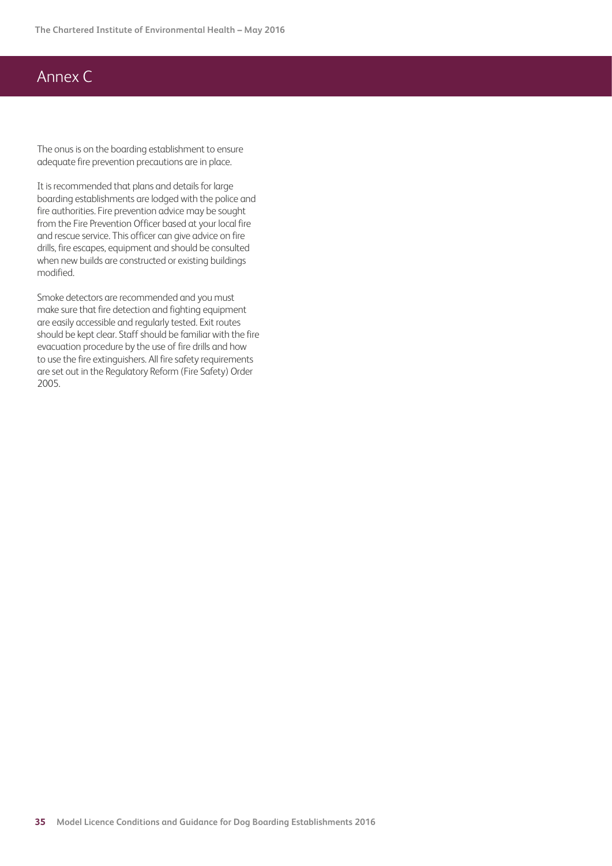# Annex C

The onus is on the boarding establishment to ensure adequate fire prevention precautions are in place.

It is recommended that plans and details for large boarding establishments are lodged with the police and fire authorities. Fire prevention advice may be sought from the Fire Prevention Officer based at your local fire and rescue service. This officer can give advice on fire drills, fire escapes, equipment and should be consulted when new builds are constructed or existing buildings modified.

Smoke detectors are recommended and you must make sure that fire detection and fighting equipment are easily accessible and regularly tested. Exit routes should be kept clear. Staff should be familiar with the fire evacuation procedure by the use of fire drills and how to use the fire extinguishers. All fire safety requirements are set out in the Regulatory Reform (Fire Safety) Order 2005.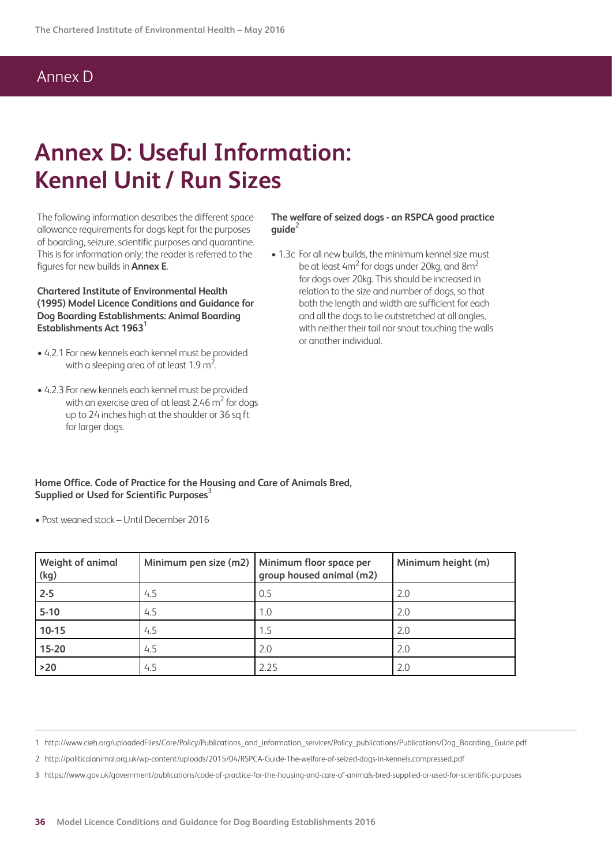## Annex D

# **Annex D: Useful Information: Kennel Unit / Run Sizes**

The following information describes the different space allowance requirements for dogs kept for the purposes of boarding, seizure, scientific purposes and quarantine. This is for information only; the reader is referred to the figures for new builds in **Annex E**.

**Chartered Institute of Environmental Health (1995) Model Licence Conditions and Guidance for Dog Boarding Establishments: Animal Boarding Establishments Act 1963**<sup>1</sup>

- 4.2.1 For new kennels each kennel must be provided with a sleeping area of at least  $1.9 \text{ m}^2$ . .
- 4.2.3 For new kennels each kennel must be provided with an exercise area of at least 2.46  $\mathrm{m}^2$  for dogs up to 24 inches high at the shoulder or 36 sq ft for larger dogs.

**The welfare of seized dogs - an RSPCA good practice**   $quide<sup>2</sup>$ 

• 1.3c For all new builds, the minimum kennel size must be at least 4m<sup>2</sup> for dogs under 20kg, and 8m<sup>2</sup> for dogs over 20kg. This should be increased in relation to the size and number of dogs, so that both the length and width are sufficient for each and all the dogs to lie outstretched at all angles, with neither their tail nor snout touching the walls or another individual.

**Home Office. Code of Practice for the Housing and Care of Animals Bred, Supplied or Used for Scientific Purposes**<sup>3</sup>

• Post weaned stock – Until December 2016

| <b>Weight of animal</b><br>(kg) |     | Minimum pen size (m2)   Minimum floor space per<br>group housed animal (m2) | Minimum height (m) |
|---------------------------------|-----|-----------------------------------------------------------------------------|--------------------|
| $2 - 5$                         | 4.5 | 0.5                                                                         | 2.0                |
| $5-10$                          | 4.5 | 1.0                                                                         | 2.0                |
| $10-15$                         | 4.5 | 1.5                                                                         | 2.0                |
| 15-20                           | 4.5 | 2.0                                                                         | 2.0                |
| $>20$                           | 4.5 | 2.25                                                                        | 2.0                |

1 http://www.cieh.org/uploadedFiles/Core/Policy/Publications\_and\_information\_services/Policy\_publications/Publications/Dog\_Boarding\_Guide.pdf

2 http://politicalanimal.org.uk/wp-content/uploads/2015/04/RSPCA-Guide-The-welfare-of-seized-dogs-in-kennels.compressed.pdf

3 https://www.gov.uk/government/publications/code-of-practice-for-the-housing-and-care-of-animals-bred-supplied-or-used-for-scientific-purposes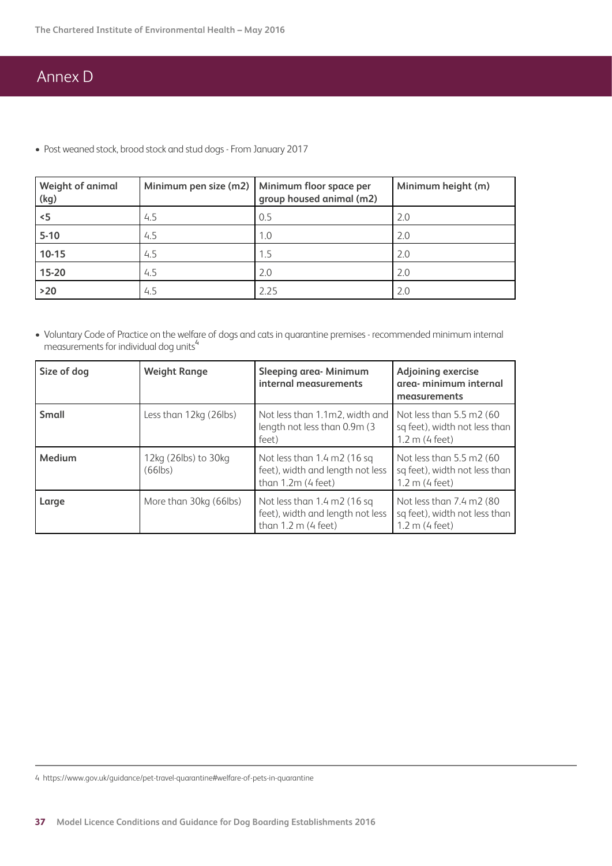# Annex D

• Post weaned stock, brood stock and stud dogs - From January 2017

| <b>Weight of animal</b><br>(kg) |     | Minimum pen size (m2)   Minimum floor space per<br>group housed animal (m2) | Minimum height (m) |
|---------------------------------|-----|-----------------------------------------------------------------------------|--------------------|
| $\leq$                          | 4.5 | 0.5                                                                         | 2.0                |
| $5-10$                          | 4.5 | 1.0                                                                         | 2.0                |
| 10-15                           | 4.5 | 1.5                                                                         | 2.0                |
| 15-20                           | 4.5 | 2.0                                                                         | 2.0                |
| $>20$                           | 4.5 | 2.25                                                                        | 2.0                |

• Voluntary Code of Practice on the welfare of dogs and cats in quarantine premises - recommended minimum internal measurements for individual dog units<sup>4</sup>

| Size of dog  | <b>Weight Range</b>                | Sleeping area- Minimum<br>internal measurements                                                                       | <b>Adjoining exercise</b><br>area- minimum internal<br>measurements              |  |  |
|--------------|------------------------------------|-----------------------------------------------------------------------------------------------------------------------|----------------------------------------------------------------------------------|--|--|
| <b>Small</b> | Less than 12kg (26lbs)             | Not less than 1.1m2, width and<br>length not less than 0.9m (3)<br>feet)                                              | Not less than $5.5$ m2 (60)<br>sq feet), width not less than<br>$1.2 m$ (4 feet) |  |  |
| Medium       | 12kg (26lbs) to 30kg<br>$(66$ lbs) | Not less than $1.4 \text{ m2}$ (16 sq<br>feet), width and length not less<br>than $1.2m$ (4 feet)                     | Not less than 5.5 m2 (60)<br>sq feet), width not less than<br>$1.2 m$ (4 feet)   |  |  |
| Large        | More than 30kg (66lbs)             | Not less than $1.4 \text{ m}$ $2(16 \text{ sq})$<br>feet), width and length not less<br>than $1.2 \text{ m}$ (4 feet) | Not less than 7.4 m2 (80)<br>sq feet), width not less than<br>$1.2 m$ (4 feet)   |  |  |

4 https://www.gov.uk/guidance/pet-travel-quarantine#welfare-of-pets-in-quarantine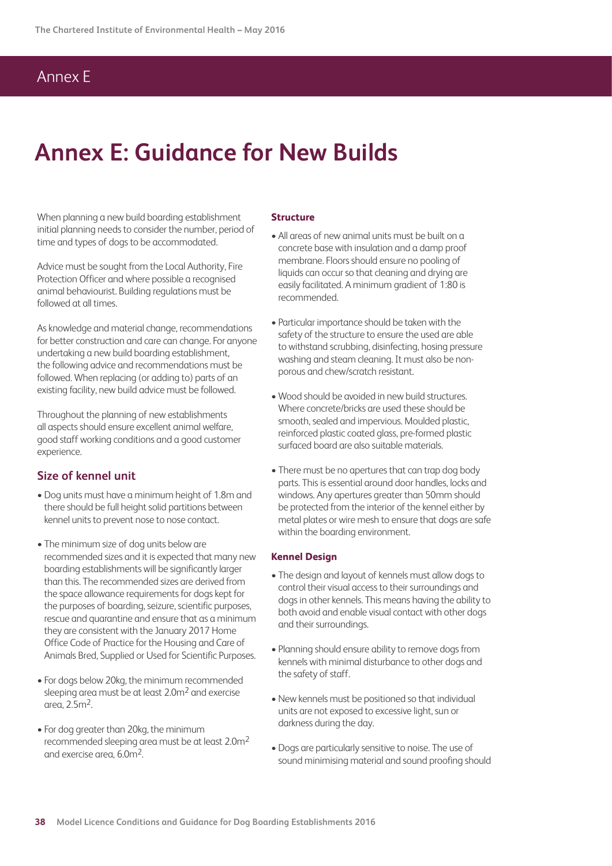## Annex E

# **Annex E: Guidance for New Builds**

When planning a new build boarding establishment initial planning needs to consider the number, period of time and types of dogs to be accommodated.

Advice must be sought from the Local Authority, Fire Protection Officer and where possible a recognised animal behaviourist. Building regulations must be followed at all times.

As knowledge and material change, recommendations for better construction and care can change. For anyone undertaking a new build boarding establishment, the following advice and recommendations must be followed. When replacing (or adding to) parts of an existing facility, new build advice must be followed.

Throughout the planning of new establishments all aspects should ensure excellent animal welfare, good staff working conditions and a good customer experience.

#### **Size of kennel unit**

- Dog units must have a minimum height of 1.8m and there should be full height solid partitions between kennel units to prevent nose to nose contact.
- The minimum size of dog units below are recommended sizes and it is expected that many new boarding establishments will be significantly larger than this. The recommended sizes are derived from the space allowance requirements for dogs kept for the purposes of boarding, seizure, scientific purposes, rescue and quarantine and ensure that as a minimum they are consistent with the January 2017 Home Office Code of Practice for the Housing and Care of Animals Bred, Supplied or Used for Scientific Purposes.
- For dogs below 20kg, the minimum recommended sleeping area must be at least 2.0m<sup>2</sup> and exercise area, 2.5m2.
- For dog greater than 20kg, the minimum recommended sleeping area must be at least 2.0m2 and exercise area, 6.0m2.

#### **Structure**

- All areas of new animal units must be built on a concrete base with insulation and a damp proof membrane. Floors should ensure no pooling of liquids can occur so that cleaning and drying are easily facilitated. A minimum gradient of 1:80 is recommended.
- Particular importance should be taken with the safety of the structure to ensure the used are able to withstand scrubbing, disinfecting, hosing pressure washing and steam cleaning. It must also be nonporous and chew/scratch resistant.
- Wood should be avoided in new build structures. Where concrete/bricks are used these should be smooth, sealed and impervious. Moulded plastic, reinforced plastic coated glass, pre-formed plastic surfaced board are also suitable materials.
- There must be no apertures that can trap dog body parts. This is essential around door handles, locks and windows. Any apertures greater than 50mm should be protected from the interior of the kennel either by metal plates or wire mesh to ensure that dogs are safe within the boarding environment.

#### **Kennel Design**

- The design and layout of kennels must allow dogs to control their visual access to their surroundings and dogs in other kennels. This means having the ability to both avoid and enable visual contact with other dogs and their surroundings.
- Planning should ensure ability to remove dogs from kennels with minimal disturbance to other dogs and the safety of staff.
- New kennels must be positioned so that individual units are not exposed to excessive light, sun or darkness during the day.
- Dogs are particularly sensitive to noise. The use of sound minimising material and sound proofing should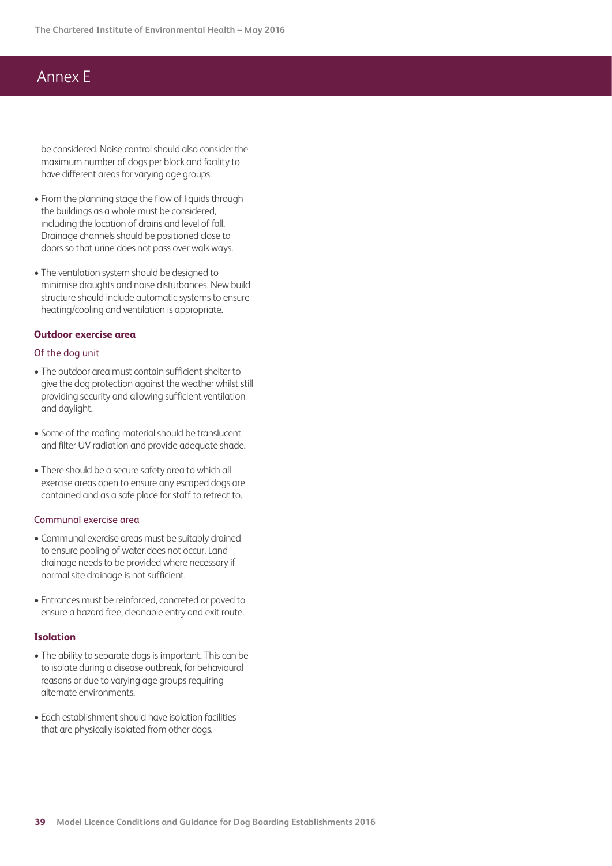## Annex E

be considered. Noise control should also consider the maximum number of dogs per block and facility to have different areas for varying age groups.

- From the planning stage the flow of liquids through the buildings as a whole must be considered, including the location of drains and level of fall. Drainage channels should be positioned close to doors so that urine does not pass over walk ways.
- The ventilation system should be designed to minimise draughts and noise disturbances. New build structure should include automatic systems to ensure heating/cooling and ventilation is appropriate.

#### **Outdoor exercise area**

#### Of the dog unit

- The outdoor area must contain sufficient shelter to give the dog protection against the weather whilst still providing security and allowing sufficient ventilation and daylight.
- Some of the roofing material should be translucent and filter UV radiation and provide adequate shade.
- There should be a secure safety area to which all exercise areas open to ensure any escaped dogs are contained and as a safe place for staff to retreat to.

#### Communal exercise area

- Communal exercise areas must be suitably drained to ensure pooling of water does not occur. Land drainage needs to be provided where necessary if normal site drainage is not sufficient.
- Entrances must be reinforced, concreted or paved to ensure a hazard free, cleanable entry and exit route.

#### **Isolation**

- The ability to separate dogs is important. This can be to isolate during a disease outbreak, for behavioural reasons or due to varying age groups requiring alternate environments.
- Each establishment should have isolation facilities that are physically isolated from other dogs.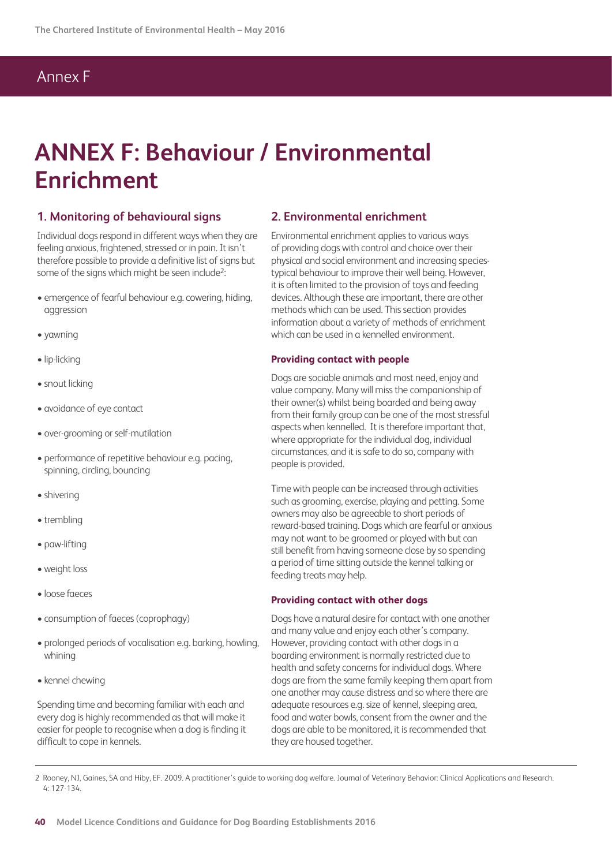# Annex F

# **ANNEX F: Behaviour / Environmental Enrichment**

#### **1. Monitoring of behavioural signs**

Individual dogs respond in different ways when they are feeling anxious, frightened, stressed or in pain. It isn't therefore possible to provide a definitive list of signs but some of the signs which might be seen include<sup>2</sup>:

- emergence of fearful behaviour e.g. cowering, hiding, aggression
- yawning
- lip-licking
- snout licking
- avoidance of eye contact
- over-grooming or self-mutilation
- performance of repetitive behaviour e.g. pacing, spinning, circling, bouncing
- shivering
- trembling
- paw-lifting
- weight loss
- loose faeces
- consumption of faeces (coprophagy)
- prolonged periods of vocalisation e.g. barking, howling, whining
- kennel chewing

Spending time and becoming familiar with each and every dog is highly recommended as that will make it easier for people to recognise when a dog is finding it difficult to cope in kennels.

#### **2. Environmental enrichment**

Environmental enrichment applies to various ways of providing dogs with control and choice over their physical and social environment and increasing speciestypical behaviour to improve their well being. However, it is often limited to the provision of toys and feeding devices. Although these are important, there are other methods which can be used. This section provides information about a variety of methods of enrichment which can be used in a kennelled environment.

#### **Providing contact with people**

Dogs are sociable animals and most need, enjoy and value company. Many will miss the companionship of their owner(s) whilst being boarded and being away from their family group can be one of the most stressful aspects when kennelled. It is therefore important that, where appropriate for the individual dog, individual circumstances, and it is safe to do so, company with people is provided.

Time with people can be increased through activities such as grooming, exercise, playing and petting. Some owners may also be agreeable to short periods of reward-based training. Dogs which are fearful or anxious may not want to be groomed or played with but can still benefit from having someone close by so spending a period of time sitting outside the kennel talking or feeding treats may help.

#### **Providing contact with other dogs**

Dogs have a natural desire for contact with one another and many value and enjoy each other's company. However, providing contact with other dogs in a boarding environment is normally restricted due to health and safety concerns for individual dogs. Where dogs are from the same family keeping them apart from one another may cause distress and so where there are adequate resources e.g. size of kennel, sleeping area, food and water bowls, consent from the owner and the dogs are able to be monitored, it is recommended that they are housed together.

2 Rooney, NJ, Gaines, SA and Hiby, EF. 2009. A practitioner's guide to working dog welfare. Journal of Veterinary Behavior: Clinical Applications and Research. 4: 127-134.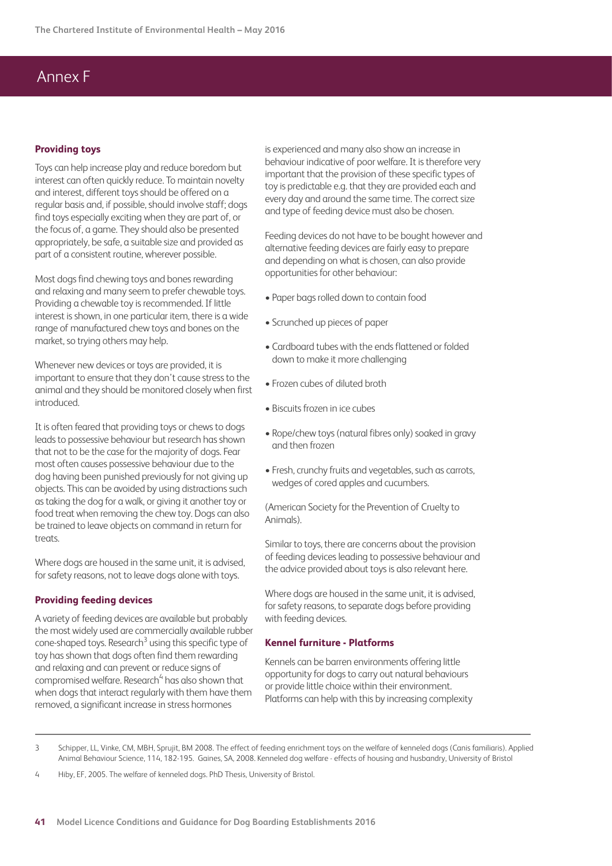## Annex F

#### **Providing toys**

Toys can help increase play and reduce boredom but interest can often quickly reduce. To maintain novelty and interest, different toys should be offered on a regular basis and, if possible, should involve staff; dogs find toys especially exciting when they are part of, or the focus of, a game. They should also be presented appropriately, be safe, a suitable size and provided as part of a consistent routine, wherever possible.

Most dogs find chewing toys and bones rewarding and relaxing and many seem to prefer chewable toys. Providing a chewable toy is recommended. If little interest is shown, in one particular item, there is a wide range of manufactured chew toys and bones on the market, so trying others may help.

Whenever new devices or toys are provided, it is important to ensure that they don't cause stress to the animal and they should be monitored closely when first introduced.

It is often feared that providing toys or chews to dogs leads to possessive behaviour but research has shown that not to be the case for the majority of dogs. Fear most often causes possessive behaviour due to the dog having been punished previously for not giving up objects. This can be avoided by using distractions such as taking the dog for a walk, or giving it another toy or food treat when removing the chew toy. Dogs can also be trained to leave objects on command in return for treats

Where dogs are housed in the same unit, it is advised. for safety reasons, not to leave dogs alone with toys.

#### **Providing feeding devices**

A variety of feeding devices are available but probably the most widely used are commercially available rubber cone-shaped toys. Research<sup>3</sup> using this specific type of toy has shown that dogs often find them rewarding and relaxing and can prevent or reduce signs of compromised welfare. Research<sup>4</sup> has also shown that when dogs that interact regularly with them have them removed, a significant increase in stress hormones

is experienced and many also show an increase in behaviour indicative of poor welfare. It is therefore very important that the provision of these specific types of toy is predictable e.g. that they are provided each and every day and around the same time. The correct size and type of feeding device must also be chosen.

Feeding devices do not have to be bought however and alternative feeding devices are fairly easy to prepare and depending on what is chosen, can also provide opportunities for other behaviour:

- Paper bags rolled down to contain food
- Scrunched up pieces of paper
- Cardboard tubes with the ends flattened or folded down to make it more challenging
- Frozen cubes of diluted broth
- Biscuits frozen in ice cubes
- Rope/chew toys (natural fibres only) soaked in gravy and then frozen
- Fresh, crunchy fruits and vegetables, such as carrots, wedges of cored apples and cucumbers.

(American Society for the Prevention of Cruelty to Animals).

Similar to toys, there are concerns about the provision of feeding devices leading to possessive behaviour and the advice provided about toys is also relevant here.

Where dogs are housed in the same unit, it is advised, for safety reasons, to separate dogs before providing with feeding devices.

#### **Kennel furniture - Platforms**

Kennels can be barren environments offering little opportunity for dogs to carry out natural behaviours or provide little choice within their environment. Platforms can help with this by increasing complexity

3 Schipper, LL, Vinke, CM, MBH, Sprujit, BM 2008. The effect of feeding enrichment toys on the welfare of kenneled dogs (Canis familiaris). Applied Animal Behaviour Science, 114, 182-195. Gaines, SA, 2008. Kenneled dog welfare - effects of housing and husbandry, University of Bristol

4 Hiby, EF, 2005. The welfare of kenneled dogs. PhD Thesis, University of Bristol.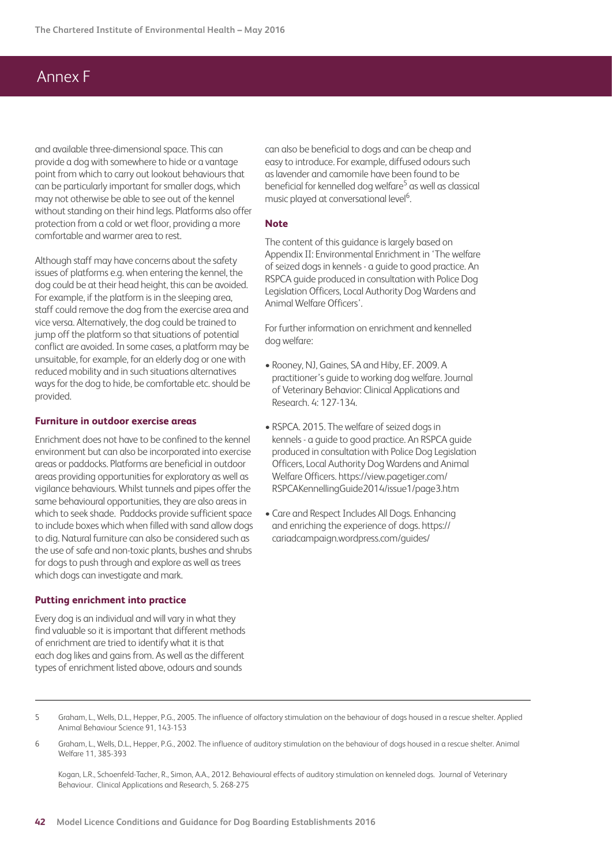## Annex F

and available three-dimensional space. This can provide a dog with somewhere to hide or a vantage point from which to carry out lookout behaviours that can be particularly important for smaller dogs, which may not otherwise be able to see out of the kennel without standing on their hind legs. Platforms also offer protection from a cold or wet floor, providing a more comfortable and warmer area to rest.

Although staff may have concerns about the safety issues of platforms e.g. when entering the kennel, the dog could be at their head height, this can be avoided. For example, if the platform is in the sleeping area, staff could remove the dog from the exercise area and vice versa. Alternatively, the dog could be trained to jump off the platform so that situations of potential conflict are avoided. In some cases, a platform may be unsuitable, for example, for an elderly dog or one with reduced mobility and in such situations alternatives ways for the dog to hide, be comfortable etc. should be provided.

#### **Furniture in outdoor exercise areas**

Enrichment does not have to be confined to the kennel environment but can also be incorporated into exercise areas or paddocks. Platforms are beneficial in outdoor areas providing opportunities for exploratory as well as vigilance behaviours. Whilst tunnels and pipes offer the same behavioural opportunities, they are also areas in which to seek shade. Paddocks provide sufficient space to include boxes which when filled with sand allow dogs to dig. Natural furniture can also be considered such as the use of safe and non-toxic plants, bushes and shrubs for dogs to push through and explore as well as trees which dogs can investigate and mark.

#### **Putting enrichment into practice**

Every dog is an individual and will vary in what they find valuable so it is important that different methods of enrichment are tried to identify what it is that each dog likes and gains from. As well as the different types of enrichment listed above, odours and sounds

can also be beneficial to dogs and can be cheap and easy to introduce. For example, diffused odours such as lavender and camomile have been found to be beneficial for kennelled dog welfare<sup>5</sup> as well as classical music played at conversational level<sup>6</sup>. .<br>.

#### **Note**

The content of this guidance is largely based on Appendix II: Environmental Enrichment in 'The welfare of seized dogs in kennels - a guide to good practice. An RSPCA guide produced in consultation with Police Dog Legislation Officers, Local Authority Dog Wardens and Animal Welfare Officers'.

For further information on enrichment and kennelled dog welfare:

- Rooney, NJ, Gaines, SA and Hiby, EF. 2009. A practitioner's guide to working dog welfare. Journal of Veterinary Behavior: Clinical Applications and Research. 4: 127-134.
- RSPCA. 2015. The welfare of seized dogs in kennels - a guide to good practice. An RSPCA guide produced in consultation with Police Dog Legislation Officers, Local Authority Dog Wardens and Animal Welfare Officers. https://view.pagetiger.com/ RSPCAKennellingGuide2014/issue1/page3.htm
- Care and Respect Includes All Dogs. Enhancing and enriching the experience of dogs. https:// cariadcampaign.wordpress.com/guides/

5 Graham, L., Wells, D.L., Hepper, P.G., 2005. The influence of olfactory stimulation on the behaviour of dogs housed in a rescue shelter. Applied Animal Behaviour Science 91, 143-153

6 Graham, L., Wells, D.L., Hepper, P.G., 2002. The influence of auditory stimulation on the behaviour of dogs housed in a rescue shelter. Animal Welfare 11, 385-393

Kogan, L.R., Schoenfeld-Tacher, R., Simon, A.A., 2012. Behavioural effects of auditory stimulation on kenneled dogs. Journal of Veterinary Behaviour. Clinical Applications and Research, 5. 268-275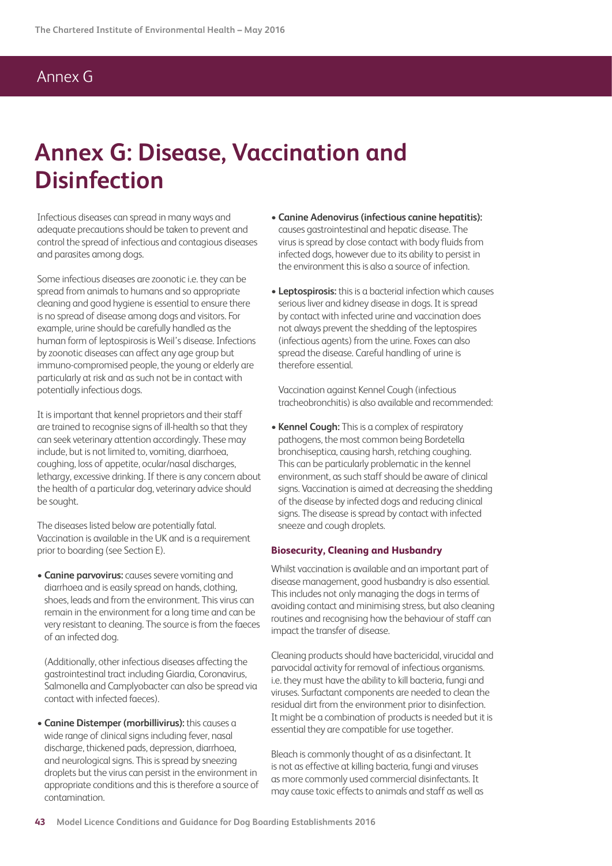# Annex G

# **Annex G: Disease, Vaccination and Disinfection**

Infectious diseases can spread in many ways and adequate precautions should be taken to prevent and control the spread of infectious and contagious diseases and parasites among dogs.

Some infectious diseases are zoonotic i.e. they can be spread from animals to humans and so appropriate cleaning and good hygiene is essential to ensure there is no spread of disease among dogs and visitors. For example, urine should be carefully handled as the human form of leptospirosis is Weil's disease. Infections by zoonotic diseases can affect any age group but immuno-compromised people, the young or elderly are particularly at risk and as such not be in contact with potentially infectious dogs.

It is important that kennel proprietors and their staff are trained to recognise signs of ill-health so that they can seek veterinary attention accordingly. These may include, but is not limited to, vomiting, diarrhoea, coughing, loss of appetite, ocular/nasal discharges, lethargy, excessive drinking. If there is any concern about the health of a particular dog, veterinary advice should be sought.

The diseases listed below are potentially fatal. Vaccination is available in the UK and is a requirement prior to boarding (see Section E).

**• Canine parvovirus:** causes severe vomiting and diarrhoea and is easily spread on hands, clothing, shoes, leads and from the environment. This virus can remain in the environment for a long time and can be very resistant to cleaning. The source is from the faeces of an infected dog.

(Additionally, other infectious diseases affecting the gastrointestinal tract including Giardia, Coronavirus, Salmonella and Camplyobacter can also be spread via contact with infected faeces).

**• Canine Distemper (morbillivirus):** this causes a wide range of clinical signs including fever, nasal discharge, thickened pads, depression, diarrhoea, and neurological signs. This is spread by sneezing droplets but the virus can persist in the environment in appropriate conditions and this is therefore a source of contamination.

- **Canine Adenovirus (infectious canine hepatitis):** causes gastrointestinal and hepatic disease. The virus is spread by close contact with body fluids from infected dogs, however due to its ability to persist in the environment this is also a source of infection.
- **Leptospirosis:** this is a bacterial infection which causes serious liver and kidney disease in dogs. It is spread by contact with infected urine and vaccination does not always prevent the shedding of the leptospires (infectious agents) from the urine. Foxes can also spread the disease. Careful handling of urine is therefore essential.

Vaccination against Kennel Cough (infectious tracheobronchitis) is also available and recommended:

• **Kennel Cough:** This is a complex of respiratory pathogens, the most common being Bordetella bronchiseptica, causing harsh, retching coughing. This can be particularly problematic in the kennel environment, as such staff should be aware of clinical signs. Vaccination is aimed at decreasing the shedding of the disease by infected dogs and reducing clinical signs. The disease is spread by contact with infected sneeze and cough droplets.

#### **Biosecurity, Cleaning and Husbandry**

Whilst vaccination is available and an important part of disease management, good husbandry is also essential. This includes not only managing the dogs in terms of avoiding contact and minimising stress, but also cleaning routines and recognising how the behaviour of staff can impact the transfer of disease.

Cleaning products should have bactericidal, virucidal and parvocidal activity for removal of infectious organisms. i.e. they must have the ability to kill bacteria, fungi and viruses. Surfactant components are needed to clean the residual dirt from the environment prior to disinfection. It might be a combination of products is needed but it is essential they are compatible for use together.

Bleach is commonly thought of as a disinfectant. It is not as effective at killing bacteria, fungi and viruses as more commonly used commercial disinfectants. It may cause toxic effects to animals and staff as well as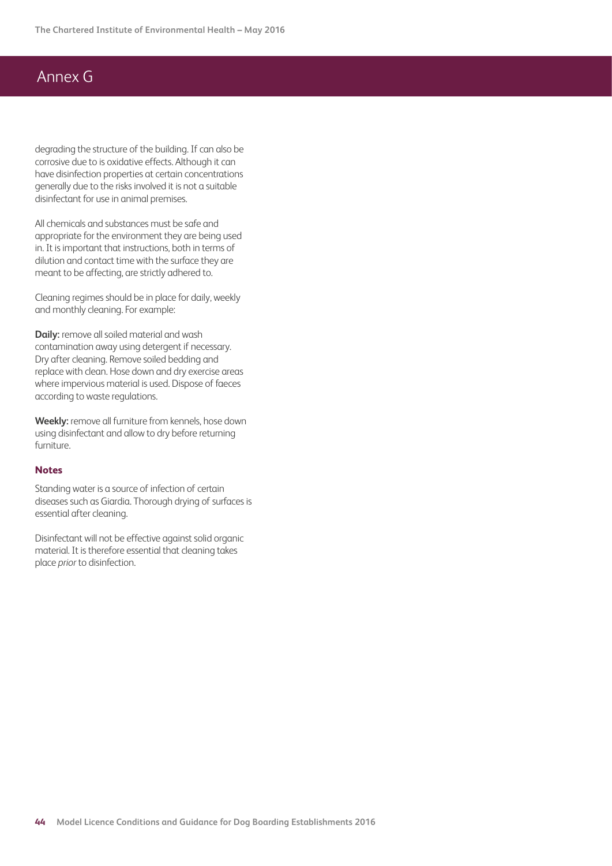# Annex G

degrading the structure of the building. If can also be corrosive due to is oxidative effects. Although it can have disinfection properties at certain concentrations generally due to the risks involved it is not a suitable disinfectant for use in animal premises.

All chemicals and substances must be safe and appropriate for the environment they are being used in. It is important that instructions, both in terms of dilution and contact time with the surface they are meant to be affecting, are strictly adhered to.

Cleaning regimes should be in place for daily, weekly and monthly cleaning. For example:

**Daily:** remove all soiled material and wash contamination away using detergent if necessary. Dry after cleaning. Remove soiled bedding and replace with clean. Hose down and dry exercise areas where impervious material is used. Dispose of faeces according to waste regulations.

**Weekly:** remove all furniture from kennels, hose down using disinfectant and allow to dry before returning furniture.

#### **Notes**

Standing water is a source of infection of certain diseases such as Giardia. Thorough drying of surfaces is essential after cleaning.

Disinfectant will not be effective against solid organic material. It is therefore essential that cleaning takes place *prior* to disinfection.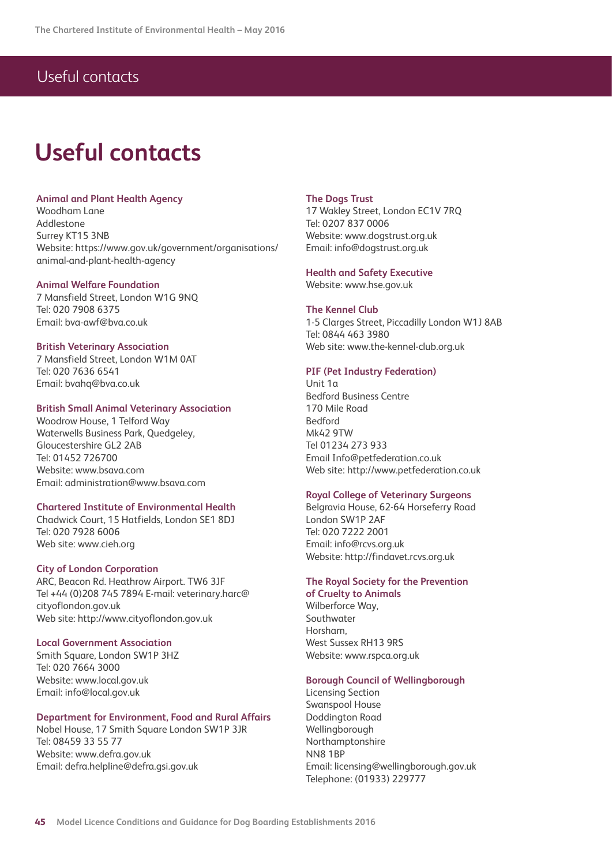## Useful contacts

# **Useful contacts**

#### **Animal and Plant Health Agency**

Woodham Lane Addlestone Surrey KT15 3NB Website: https://www.gov.uk/government/organisations/ animal-and-plant-health-agency

#### **Animal Welfare Foundation**

7 Mansfield Street, London W1G 9NQ Tel: 020 7908 6375 Email: bva-awf@bva.co.uk

#### **British Veterinary Association**

7 Mansfield Street, London W1M 0AT Tel: 020 7636 6541 Email: bvahq@bva.co.uk

#### **British Small Animal Veterinary Association**

Woodrow House, 1 Telford Way Waterwells Business Park, Quedgeley, Gloucestershire GL2 2AB Tel: 01452 726700 Website: www.bsava.com Email: administration@www.bsava.com

#### **Chartered Institute of Environmental Health**

Chadwick Court, 15 Hatfields, London SE1 8DJ Tel: 020 7928 6006 Web site: www.cieh.org

#### **City of London Corporation**

ARC, Beacon Rd. Heathrow Airport. TW6 3JF Tel +44 (0)208 745 7894 E-mail: veterinary.harc@ cityoflondon.gov.uk Web site: http://www.cityoflondon.gov.uk

#### **Local Government Association**

Smith Square, London SW1P 3HZ Tel: 020 7664 3000 Website: www.local.gov.uk Email: info@local.gov.uk

#### **Department for Environment, Food and Rural Affairs**

Nobel House, 17 Smith Square London SW1P 3JR Tel: 08459 33 55 77 Website: www.defra.gov.uk Email: defra.helpline@defra.gsi.gov.uk

#### **The Dogs Trust**

17 Wakley Street, London EC1V 7RQ Tel: 0207 837 0006 Website: www.dogstrust.org.uk Email: info@dogstrust.org.uk

#### **Health and Safety Executive**

Website: www.hse.gov.uk

#### **The Kennel Club**

1-5 Clarges Street, Piccadilly London W1J 8AB Tel: 0844 463 3980 Web site: www.the-kennel-club.org.uk

#### **PIF (Pet Industry Federation)**

Unit 1a Bedford Business Centre 170 Mile Road Bedford Mk42 9TW Tel 01234 273 933 Email Info@petfederation.co.uk Web site: http://www.petfederation.co.uk

#### **Royal College of Veterinary Surgeons**

Belgravia House, 62-64 Horseferry Road London SW1P 2AF Tel: 020 7222 2001 Email: info@rcvs.org.uk Website: http://findavet.rcvs.org.uk

#### **The Royal Society for the Prevention**

**of Cruelty to Animals** Wilberforce Way, Southwater Horsham, West Sussex RH13 9RS Website: www.rspca.org.uk

#### **Borough Council of Wellingborough**

Licensing Section Swanspool House Doddington Road Wellingborough Northamptonshire NN8 1BP Email: licensing@wellingborough.gov.uk Telephone: (01933) 229777